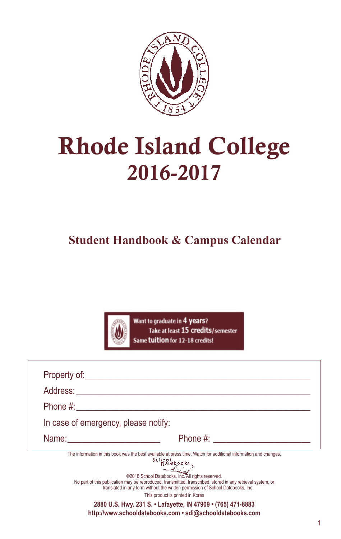

# Rhode Island College 2016-2017

## **Student Handbook & Campus Calendar**



Want to graduate in 4 years? Take at least 15 credits/semester Same tuition for 12-18 credits!

| In case of emergency, please notify: |                                                                                                                                                                                                                                                                                                                                                                                                                                                        |
|--------------------------------------|--------------------------------------------------------------------------------------------------------------------------------------------------------------------------------------------------------------------------------------------------------------------------------------------------------------------------------------------------------------------------------------------------------------------------------------------------------|
| Name: <u>________________</u>        | Phone #: <u>____________________</u>                                                                                                                                                                                                                                                                                                                                                                                                                   |
|                                      | The information in this book was the best available at press time. Watch for additional information and changes.<br>$rac{\text{Stabola}}{\text{D31ebooks}}$<br>©2016 School Datebooks, Inc. All rights reserved.<br>No part of this publication may be reproduced, transmitted, transcribed, stored in any retrieval system, or<br>translated in any form without the written permission of School Datebooks, Inc.<br>This product is printed in Korea |
|                                      | 2880 U.S. Hwy. 231 S. • Lafayette, IN 47909 • (765) 471-8883                                                                                                                                                                                                                                                                                                                                                                                           |

**http://www.schooldatebooks.com • sdi@schooldatebooks.com**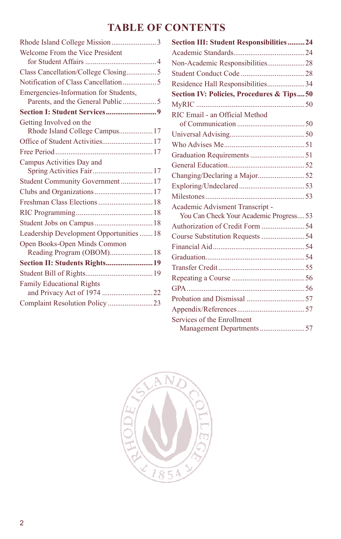## **Table of contents**

| Welcome From the Vice President          |
|------------------------------------------|
|                                          |
| Class Cancellation/College Closing5      |
| Notification of Class Cancellation5      |
| Emergencies-Information for Students,    |
|                                          |
| Getting Involved on the                  |
| Rhode Island College Campus 17           |
| Office of Student Activities 17          |
|                                          |
| Campus Activities Day and                |
|                                          |
| Student Community Government  17         |
|                                          |
| Freshman Class Elections  18             |
|                                          |
|                                          |
| Leadership Development Opportunities  18 |
| Open Books-Open Minds Common             |
| Reading Program (OBOM) 18                |
| Section II: Students Rights 19           |
|                                          |
| <b>Family Educational Rights</b>         |
|                                          |
| Complaint Resolution Policy 23           |
|                                          |

| <b>Section III: Student Responsibilities24</b> |  |
|------------------------------------------------|--|
|                                                |  |
| Non-Academic Responsibilities28                |  |
|                                                |  |
| Residence Hall Responsibilities34              |  |
| Section IV: Policies, Procedures & Tips50      |  |
|                                                |  |
| RIC Email - an Official Method                 |  |
|                                                |  |
|                                                |  |
|                                                |  |
|                                                |  |
|                                                |  |
| Changing/Declaring a Major52                   |  |
|                                                |  |
|                                                |  |
| Academic Advisment Transcript -                |  |
| You Can Check Your Academic Progress 53        |  |
| Authorization of Credit Form 54                |  |
| Course Substitution Requests 54                |  |
|                                                |  |
|                                                |  |
|                                                |  |
|                                                |  |
|                                                |  |
|                                                |  |
|                                                |  |
| Services of the Enrollment                     |  |
| Management Departments57                       |  |
|                                                |  |

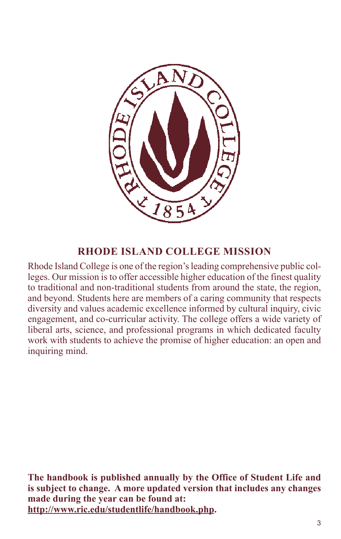

### **RHODE ISLAND COLLEGE MISSION**

Rhode Island College is one of the region's leading comprehensive public colleges. Our mission is to offer accessible higher education of the finest quality to traditional and non-traditional students from around the state, the region, and beyond. Students here are members of a caring community that respects diversity and values academic excellence informed by cultural inquiry, civic engagement, and co-curricular activity. The college offers a wide variety of liberal arts, science, and professional programs in which dedicated faculty work with students to achieve the promise of higher education: an open and inquiring mind.

**The handbook is published annually by the Office of Student Life and is subject to change. A more updated version that includes any changes made during the year can be found at: http://www.ric.edu/studentlife/handbook.php.**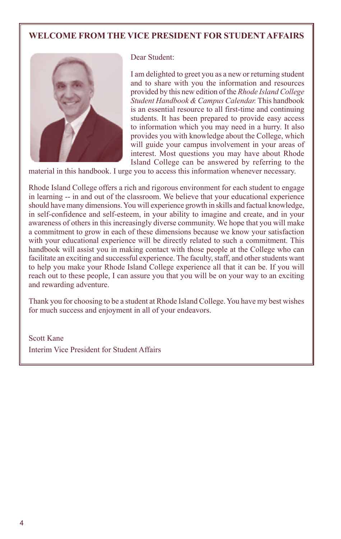#### **Welcome From the Vice President for StudentAffairs**



Dear Student:

I am delighted to greet you as a new or returning student and to share with you the information and resources provided by this new edition of the *Rhode Island College Student Handbook & Campus Calendar.* This handbook is an essential resource to all first-time and continuing students. It has been prepared to provide easy access to information which you may need in a hurry. It also provides you with knowledge about the College, which will guide your campus involvement in your areas of interest. Most questions you may have about Rhode Island College can be answered by referring to the

material in this handbook. I urge you to access this information whenever necessary.

Rhode Island College offers a rich and rigorous environment for each student to engage in learning -- in and out of the classroom. We believe that your educational experience should have many dimensions. You will experience growth in skills and factual knowledge, in self-confidence and self-esteem, in your ability to imagine and create, and in your awareness of others in this increasingly diverse community. We hope that you will make a commitment to grow in each of these dimensions because we know your satisfaction with your educational experience will be directly related to such a commitment. This handbook will assist you in making contact with those people at the College who can facilitate an exciting and successful experience. The faculty, staff, and other students want to help you make your Rhode Island College experience all that it can be. If you will reach out to these people, I can assure you that you will be on your way to an exciting and rewarding adventure.

Thank you for choosing to be a student at Rhode Island College. You have my best wishes for much success and enjoyment in all of your endeavors.

Scott Kane Interim Vice President for Student Affairs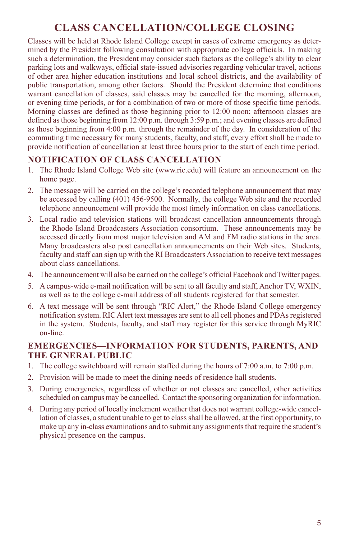## **CLASS CANCELLATION/COLLEGE CLOSING**

Classes will be held at Rhode Island College except in cases of extreme emergency as determined by the President following consultation with appropriate college officials. In making such a determination, the President may consider such factors as the college's ability to clear parking lots and walkways, official state-issued advisories regarding vehicular travel, actions of other area higher education institutions and local school districts, and the availability of public transportation, among other factors. Should the President determine that conditions warrant cancellation of classes, said classes may be cancelled for the morning, afternoon, or evening time periods, or for a combination of two or more of those specific time periods. Morning classes are defined as those beginning prior to 12:00 noon; afternoon classes are defined as those beginning from 12:00 p.m. through 3:59 p.m.; and evening classes are defined as those beginning from 4:00 p.m. through the remainder of the day. In consideration of the commuting time necessary for many students, faculty, and staff, every effort shall be made to provide notification of cancellation at least three hours prior to the start of each time period.

#### **Notification of class cancellation**

- 1. The Rhode Island College Web site (www.ric.edu) will feature an announcement on the home page.
- 2. The message will be carried on the college's recorded telephone announcement that may be accessed by calling (401) 456-9500. Normally, the college Web site and the recorded telephone announcement will provide the most timely information on class cancellations.
- 3. Local radio and television stations will broadcast cancellation announcements through the Rhode Island Broadcasters Association consortium. These announcements may be accessed directly from most major television and AM and FM radio stations in the area. Many broadcasters also post cancellation announcements on their Web sites. Students, faculty and staff can sign up with the RI Broadcasters Association to receive text messages about class cancellations.
- 4. The announcement will also be carried on the college's official Facebook and Twitter pages.
- 5. A campus-wide e-mail notification will be sent to all faculty and staff, Anchor TV, WXIN, as well as to the college e-mail address of all students registered for that semester.
- 6. A text message will be sent through "RIC Alert," the Rhode Island College emergency notification system. RIC Alert text messages are sent to all cell phones and PDAs registered in the system. Students, faculty, and staff may register for this service through MyRIC on-line.

#### **Emergencies—Information for Students, Parents, and the General Public**

- 1. The college switchboard will remain staffed during the hours of 7:00 a.m. to 7:00 p.m.
- 2. Provision will be made to meet the dining needs of residence hall students.
- 3. During emergencies, regardless of whether or not classes are cancelled, other activities scheduled on campus may be cancelled. Contact the sponsoring organization for information.
- 4. During any period of locally inclement weather that does not warrant college-wide cancellation of classes, a student unable to get to class shall be allowed, at the first opportunity, to make up any in-class examinations and to submit any assignments that require the student's physical presence on the campus.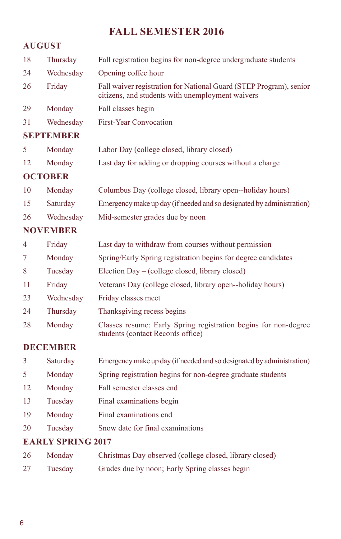## **FALL SEMESTER 2016**

### **August**

| 18 | Thursday                 | Fall registration begins for non-degree undergraduate students                                                         |
|----|--------------------------|------------------------------------------------------------------------------------------------------------------------|
| 24 | Wednesday                | Opening coffee hour                                                                                                    |
| 26 | Friday                   | Fall waiver registration for National Guard (STEP Program), senior<br>citizens, and students with unemployment waivers |
| 29 | Monday                   | Fall classes begin                                                                                                     |
| 31 | Wednesday                | <b>First-Year Convocation</b>                                                                                          |
|    | <b>SEPTEMBER</b>         |                                                                                                                        |
| 5  | Monday                   | Labor Day (college closed, library closed)                                                                             |
| 12 | Monday                   | Last day for adding or dropping courses without a charge                                                               |
|    | <b>OCTOBER</b>           |                                                                                                                        |
| 10 | Monday                   | Columbus Day (college closed, library open--holiday hours)                                                             |
| 15 | Saturday                 | Emergency make up day (if needed and so designated by administration)                                                  |
| 26 | Wednesday                | Mid-semester grades due by noon                                                                                        |
|    | NOVEMBER                 |                                                                                                                        |
| 4  | Friday                   | Last day to withdraw from courses without permission                                                                   |
| 7  | Monday                   | Spring/Early Spring registration begins for degree candidates                                                          |
| 8  | Tuesday                  | Election Day – (college closed, library closed)                                                                        |
| 11 | Friday                   | Veterans Day (college closed, library open--holiday hours)                                                             |
| 23 | Wednesday                | Friday classes meet                                                                                                    |
| 24 | Thursday                 | Thanksgiving recess begins                                                                                             |
| 28 | Monday                   | Classes resume: Early Spring registration begins for non-degree<br>students (contact Records office)                   |
|    | <b>DECEMBER</b>          |                                                                                                                        |
| 3  | Saturday                 | Emergency make up day (if needed and so designated by administration)                                                  |
| 5  | Monday                   | Spring registration begins for non-degree graduate students                                                            |
| 12 | Monday                   | Fall semester classes end                                                                                              |
| 13 | Tuesday                  | Final examinations begin                                                                                               |
| 19 | Monday                   | Final examinations end                                                                                                 |
| 20 | Tuesday                  | Snow date for final examinations                                                                                       |
|    | <b>EARLY SPRING 2017</b> |                                                                                                                        |
| 26 | Monday                   | Christmas Day observed (college closed, library closed)                                                                |
| 27 | Tuesday                  | Grades due by noon; Early Spring classes begin                                                                         |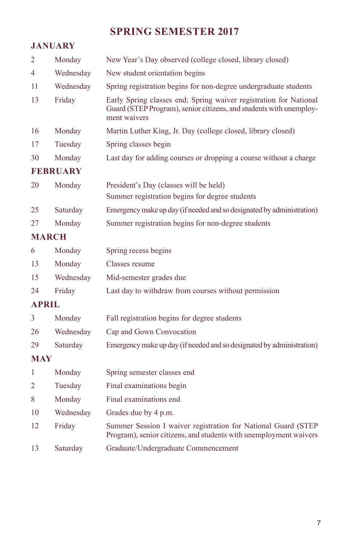## **SPRING SEMESTER 2017**

### **January**

| $\overline{2}$ | Monday          | New Year's Day observed (college closed, library closed)                                                                                                |
|----------------|-----------------|---------------------------------------------------------------------------------------------------------------------------------------------------------|
| 4              | Wednesday       | New student orientation begins                                                                                                                          |
| 11             | Wednesday       | Spring registration begins for non-degree undergraduate students                                                                                        |
| 13             | Friday          | Early Spring classes end; Spring waiver registration for National<br>Guard (STEP Program), senior citizens, and students with unemploy-<br>ment waivers |
| 16             | Monday          | Martin Luther King, Jr. Day (college closed, library closed)                                                                                            |
| 17             | Tuesday         | Spring classes begin                                                                                                                                    |
| 30             | Monday          | Last day for adding courses or dropping a course without a charge                                                                                       |
|                | <b>FEBRUARY</b> |                                                                                                                                                         |
| 20             | Monday          | President's Day (classes will be held)                                                                                                                  |
|                |                 | Summer registration begins for degree students                                                                                                          |
| 25             | Saturday        | Emergency make up day (if needed and so designated by administration)                                                                                   |
| 27             | Monday          | Summer registration begins for non-degree students                                                                                                      |
|                | <b>MARCH</b>    |                                                                                                                                                         |
| 6              | Monday          | Spring recess begins                                                                                                                                    |
| 13             | Monday          | Classes resume                                                                                                                                          |
| 15             | Wednesday       | Mid-semester grades due                                                                                                                                 |
| 24             | Friday          | Last day to withdraw from courses without permission                                                                                                    |
| <b>APRIL</b>   |                 |                                                                                                                                                         |
| 3              | Monday          | Fall registration begins for degree students                                                                                                            |
| 26             | Wednesday       | Cap and Gown Convocation                                                                                                                                |
| 29             | Saturday        | Emergency make up day (if needed and so designated by administration)                                                                                   |
| MAY            |                 |                                                                                                                                                         |
| 1              | Monday          | Spring semester classes end                                                                                                                             |
| 2              | Tuesday         | Final examinations begin                                                                                                                                |
| 8              | Monday          | Final examinations end                                                                                                                                  |
| 10             | Wednesday       | Grades due by 4 p.m.                                                                                                                                    |
| 12             | Friday          | Summer Session I waiver registration for National Guard (STEP<br>Program), senior citizens, and students with unemployment waivers                      |
| 13             | Saturday        | Graduate/Undergraduate Commencement                                                                                                                     |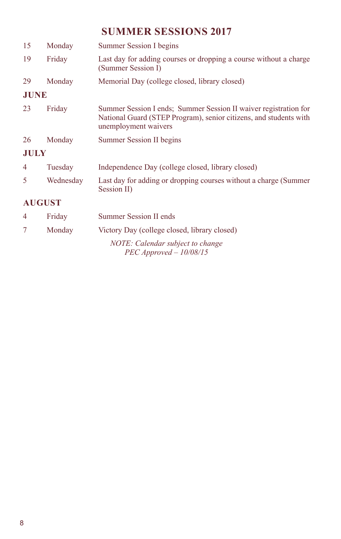## **SUMMER SESSIONS 2017**

| 15            | Monday    | Summer Session I begins                                                                                                                                       |
|---------------|-----------|---------------------------------------------------------------------------------------------------------------------------------------------------------------|
| 19            | Friday    | Last day for adding courses or dropping a course without a charge<br>(Summer Session I)                                                                       |
| 29            | Monday    | Memorial Day (college closed, library closed)                                                                                                                 |
| <b>JUNE</b>   |           |                                                                                                                                                               |
| 23            | Friday    | Summer Session I ends; Summer Session II waiver registration for<br>National Guard (STEP Program), senior citizens, and students with<br>unemployment waivers |
| 26            | Monday    | Summer Session II begins                                                                                                                                      |
| <b>JULY</b>   |           |                                                                                                                                                               |
| 4             | Tuesday   | Independence Day (college closed, library closed)                                                                                                             |
| 5             | Wednesday | Last day for adding or dropping courses without a charge (Summer<br>Session II)                                                                               |
| <b>AUGUST</b> |           |                                                                                                                                                               |
| 4             | Friday    | Summer Session II ends                                                                                                                                        |
| 7             | Monday    | Victory Day (college closed, library closed)                                                                                                                  |
|               |           | NOTE: Calendar subject to change<br>$PEC$ Approved $-10/08/15$                                                                                                |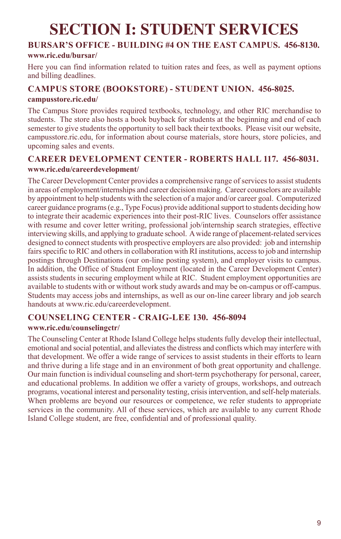## **SECTION I: STUDENT SERVICES**

#### **BURSAR'S OFFICE - Building #4 on the East Campus. 456-8130. www.ric.edu/bursar/**

Here you can find information related to tuition rates and fees, as well as payment options and billing deadlines.

#### **CAMPUS STORE (Bookstore) - Student Union. 456-8025. campusstore.ric.edu/**

The Campus Store provides required textbooks, technology, and other RIC merchandise to students. The store also hosts a book buyback for students at the beginning and end of each semester to give students the opportunity to sell back their textbooks. Please visit our website, campusstore.ric.edu, for information about course materials, store hours, store policies, and upcoming sales and events.

#### **CAREER DEVELOPMENT CENTER - ROBERTS HALL 117. 456-8031. www.ric.edu/careerdevelopment/**

The Career Development Center provides a comprehensive range of services to assist students in areas of employment/internships and career decision making. Career counselors are available by appointment to help students with the selection of a major and/or career goal. Computerized career guidance programs (e.g., Type Focus) provide additional support to students deciding how to integrate their academic experiences into their post-RIC lives. Counselors offer assistance with resume and cover letter writing, professional job/internship search strategies, effective interviewing skills, and applying to graduate school. A wide range of placement-related services designed to connect students with prospective employers are also provided: job and internship fairs specific to RIC and others in collaboration with RI institutions, access to job and internship postings through Destinations (our on-line posting system), and employer visits to campus. In addition, the Office of Student Employment (located in the Career Development Center) assists students in securing employment while at RIC. Student employment opportunities are available to students with or without work study awards and may be on-campus or off-campus. Students may access jobs and internships, as well as our on-line career library and job search handouts at www.ric.edu/careerdevelopment.

#### **COUNSELING CENTER - Craig-Lee 130. 456-8094**

#### **www.ric.edu/counselingctr/**

The Counseling Center at Rhode Island College helps students fully develop their intellectual, emotional and social potential, and alleviates the distress and conflicts which may interfere with that development. We offer a wide range of services to assist students in their efforts to learn and thrive during a life stage and in an environment of both great opportunity and challenge. Our main function is individual counseling and short-term psychotherapy for personal, career, and educational problems. In addition we offer a variety of groups, workshops, and outreach programs, vocational interest and personality testing, crisis intervention, and self-help materials. When problems are beyond our resources or competence, we refer students to appropriate services in the community. All of these services, which are available to any current Rhode Island College student, are free, confidential and of professional quality.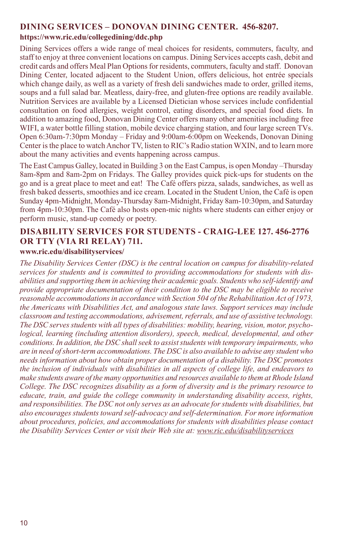#### **DINING SERVICES – Donovan Dining Center. 456-8207.**

#### **https://www.ric.edu/collegedining/ddc.php**

Dining Services offers a wide range of meal choices for residents, commuters, faculty, and staff to enjoy at three convenient locations on campus. Dining Services accepts cash, debit and credit cards and offers Meal Plan Options for residents, commuters, faculty and staff. Donovan Dining Center, located adjacent to the Student Union, offers delicious, hot entrée specials which change daily, as well as a variety of fresh deli sandwiches made to order, grilled items, soups and a full salad bar. Meatless, dairy-free, and gluten-free options are readily available. Nutrition Services are available by a Licensed Dietician whose services include confidential consultation on food allergies, weight control, eating disorders, and special food diets. In addition to amazing food, Donovan Dining Center offers many other amenities including free WIFI, a water bottle filling station, mobile device charging station, and four large screen TVs. Open 6:30am-7:30pm Monday – Friday and 9:00am-6:00pm on Weekends, Donovan Dining Center is the place to watch Anchor TV, listen to RIC's Radio station WXIN, and to learn more about the many activities and events happening across campus.

The East Campus Galley, located in Building 3 on the East Campus, is open Monday –Thursday 8am-8pm and 8am-2pm on Fridays. The Galley provides quick pick-ups for students on the go and is a great place to meet and eat! The Café offers pizza, salads, sandwiches, as well as fresh baked desserts, smoothies and ice cream. Located in the Student Union, the Café is open Sunday 4pm-Midnight, Monday-Thursday 8am-Midnight, Friday 8am-10:30pm, and Saturday from 4pm-10:30pm. The Café also hosts open-mic nights where students can either enjoy or perform music, stand-up comedy or poetry.

### **DISABILITY SERVICES FOR STUDENTS - Craig-Lee 127. 456-2776 OR TTY (VIA RI RELAY) 711.**

#### **www.ric.edu/disabilityservices/**

*The Disability Services Center (DSC) is the central location on campus for disability-related services for students and is committed to providing accommodations for students with disabilities and supporting them in achieving their academic goals. Students who self-identify and provide appropriate documentation of their condition to the DSC may be eligible to receive reasonable accommodations in accordance with Section 504 of the Rehabilitation Act of 1973, the Americans with Disabilities Act, and analogous state laws. Support services may include classroom and testing accommodations, advisement, referrals, and use of assistive technology. The DSC serves students with all types of disabilities: mobility, hearing, vision, motor, psychological, learning (including attention disorders), speech, medical, developmental, and other conditions. In addition, the DSC shall seek to assist students with temporary impairments, who are in need of short-term accommodations. The DSC is also available to advise any student who needs information about how obtain proper documentation of a disability. The DSC promotes the inclusion of individuals with disabilities in all aspects of college life, and endeavors to make students aware of the many opportunities and resources available to them at Rhode Island College. The DSC recognizes disability as a form of diversity and is the primary resource to educate, train, and guide the college community in understanding disability access, rights, and responsibilities. The DSC not only serves as an advocate for students with disabilities, but also encourages students toward self-advocacy and self-determination. For more information about procedures, policies, and accommodations for students with disabilities please contact the Disability Services Center or visit their Web site at: www.ric.edu/disabilityservices*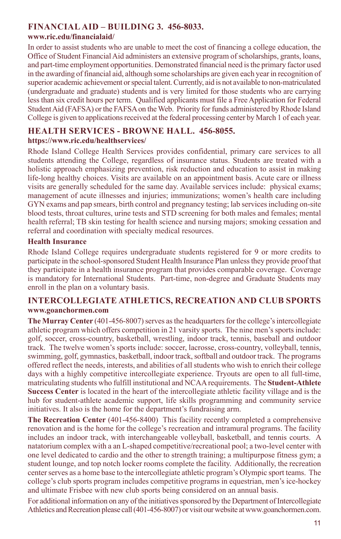#### **FINANCIAL AID – Building 3. 456-8033.**

#### **www.ric.edu/financialaid/**

In order to assist students who are unable to meet the cost of financing a college education, the Office of Student Financial Aid administers an extensive program of scholarships, grants, loans, and part-time employment opportunities. Demonstrated financial need is the primary factor used in the awarding of financial aid, although some scholarships are given each year in recognition of superior academic achievement or special talent. Currently, aid is not available to non-matriculated (undergraduate and graduate) students and is very limited for those students who are carrying less than six credit hours per term. Qualified applicants must file a Free Application for Federal Student Aid (FAFSA) or the FAFSA on the Web. Priority for funds administered by Rhode Island College is given to applications received at the federal processing center by March 1 of each year.

#### **HEALTH SERVICES - Browne Hall. 456-8055. https://www.ric.edu/healthservices/**

Rhode Island College Health Services provides confidential, primary care services to all students attending the College, regardless of insurance status. Students are treated with a holistic approach emphasizing prevention, risk reduction and education to assist in making life-long healthy choices. Visits are available on an appointment basis. Acute care or illness visits are generally scheduled for the same day. Available services include: physical exams; management of acute illnesses and injuries; immunizations; women's health care including GYN exams and pap smears, birth control and pregnancy testing; lab services including on-site blood tests, throat cultures, urine tests and STD screening for both males and females; mental health referral; TB skin testing for health science and nursing majors; smoking cessation and referral and coordination with specialty medical resources.

#### **Health Insurance**

Rhode Island College requires undergraduate students registered for 9 or more credits to participate in the school-sponsored Student Health Insurance Plan unless they provide proof that they participate in a health insurance program that provides comparable coverage. Coverage is mandatory for International Students. Part-time, non-degree and Graduate Students may enroll in the plan on a voluntary basis.

## **INTERCOLLEGIATE ATHLETICS, RECREATION AND CLUB SPORTS**

#### **www.goanchormen.com**

**The Murray Center** (401-456-8007) serves as the headquarters for the college's intercollegiate athletic program which offers competition in 21 varsity sports. The nine men's sports include: golf, soccer, cross-country, basketball, wrestling, indoor track, tennis, baseball and outdoor track. The twelve women's sports include: soccer, lacrosse, cross-country, volleyball, tennis, swimming, golf, gymnastics, basketball, indoor track, softball and outdoor track. The programs offered reflect the needs, interests, and abilities of all students who wish to enrich their college days with a highly competitive intercollegiate experience. Tryouts are open to all full-time, matriculating students who fulfill institutional and NCAA requirements. The **Student-Athlete Success Center** is located in the heart of the intercollegiate athletic facility village and is the hub for student-athlete academic support, life skills programming and community service initiatives. It also is the home for the department's fundraising arm.

**The Recreation Center** (401-456-8400) This facility recently completed a comprehensive renovation and is the home for the college's recreation and intramural programs. The facility includes an indoor track, with interchangeable volleyball, basketball, and tennis courts. A natatorium complex with a an L-shaped competitive/recreational pool; a two-level center with one level dedicated to cardio and the other to strength training; a multipurpose fitness gym; a student lounge, and top notch locker rooms complete the facility. Additionally, the recreation center serves as a home base to the intercollegiate athletic program's Olympic sport teams. The college's club sports program includes competitive programs in equestrian, men's ice-hockey and ultimate Frisbee with new club sports being considered on an annual basis.

For additional information on any of the initiatives sponsored by the Department of Intercollegiate Athletics and Recreation please call (401-456-8007) or visit our website at www.goanchormen.com.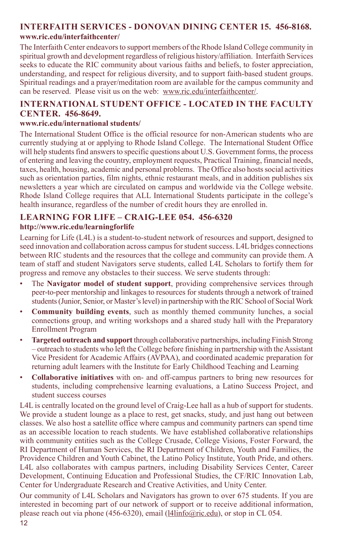#### **INTERFAITH SERVICES - Donovan Dining Center 15. 456-8168. www.ric.edu/interfaithcenter/**

The Interfaith Center endeavors to support members of the Rhode Island College community in spiritual growth and development regardless of religious history/affiliation. Interfaith Services seeks to educate the RIC community about various faiths and beliefs, to foster appreciation, understanding, and respect for religious diversity, and to support faith-based student groups. Spiritual readings and a prayer/meditation room are available for the campus community and can be reserved. Please visit us on the web: www.ric.edu/interfaithcenter/.

#### **INTERNATIONAL STUDENT OFFICE - Located in the Faculty Center. 456-8649.**

#### **www.ric.edu/international students/**

The International Student Office is the official resource for non-American students who are currently studying at or applying to Rhode Island College. The International Student Office will help students find answers to specific questions about U.S. Government forms, the process of entering and leaving the country, employment requests, Practical Training, financial needs, taxes, health, housing, academic and personal problems. The Office also hosts social activities such as orientation parties, film nights, ethnic restaurant meals, and in addition publishes six newsletters a year which are circulated on campus and worldwide via the College website. Rhode Island College requires that ALL International Students participate in the college's health insurance, regardless of the number of credit hours they are enrolled in.

#### **LEARNING FOR LIFE – CRAIG-LEE 054. 456-6320 http://www.ric.edu/learningforlife**

Learning for Life (L4L) is a student-to-student network of resources and support, designed to seed innovation and collaboration across campus for student success. L4L bridges connections between RIC students and the resources that the college and community can provide them. A team of staff and student Navigators serve students, called L4L Scholars to fortify them for progress and remove any obstacles to their success. We serve students through:

- The **Navigator model of student support**, providing comprehensive services through peer-to-peer mentorship and linkages to resources for students through a network of trained students (Junior, Senior, or Master's level) in partnership with the RIC School of Social Work
- **Community building events**, such as monthly themed community lunches, a social connections group, and writing workshops and a shared study hall with the Preparatory Enrollment Program
- **Targeted outreach and support** through collaborative partnerships, including Finish Strong – outreach to students who left the College before finishing in partnership with the Assistant Vice President for Academic Affairs (AVPAA), and coordinated academic preparation for returning adult learners with the Institute for Early Childhood Teaching and Learning
- • **Collaborative initiatives** with on- and off-campus partners to bring new resources for students, including comprehensive learning evaluations, a Latino Success Project, and student success courses

L4L is centrally located on the ground level of Craig-Lee hall as a hub of support for students. We provide a student lounge as a place to rest, get snacks, study, and just hang out between classes. We also host a satellite office where campus and community partners can spend time as an accessible location to reach students. We have established collaborative relationships with community entities such as the College Crusade, College Visions, Foster Forward, the RI Department of Human Services, the RI Department of Children, Youth and Families, the Providence Children and Youth Cabinet, the Latino Policy Institute, Youth Pride, and others. L4L also collaborates with campus partners, including Disability Services Center, Career Development, Continuing Education and Professional Studies, the CF/RIC Innovation Lab, Center for Undergraduate Research and Creative Activities, and Unity Center.

Our community of L4L Scholars and Navigators has grown to over 675 students. If you are interested in becoming part of our network of support or to receive additional information, please reach out via phone (456-6320), email (l4linfo@ric.edu), or stop in CL 054.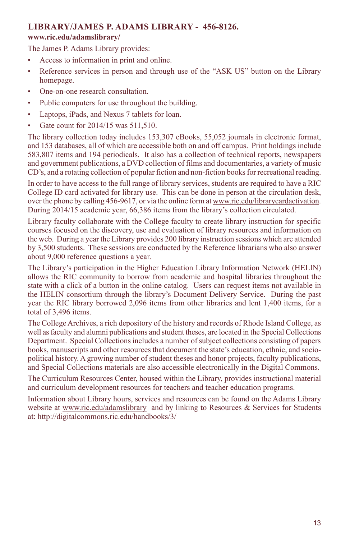#### **LIBRARY/JAMES P. ADAMS LIBRARY - 456-8126.**

#### **www.ric.edu/adamslibrary/**

The James P. Adams Library provides:

- Access to information in print and online.
- • Reference services in person and through use of the "ASK US" button on the Library homepage.
- One-on-one research consultation.
- Public computers for use throughout the building.
- • Laptops, iPads, and Nexus 7 tablets for loan.
- Gate count for 2014/15 was 511,510.

The library collection today includes 153,307 eBooks, 55,052 journals in electronic format, and 153 databases, all of which are accessible both on and off campus. Print holdings include 583,807 items and 194 periodicals. It also has a collection of technical reports, newspapers and government publications, a DVD collection of films and documentaries, a variety of music CD's, and a rotating collection of popular fiction and non-fiction books for recreational reading.

In order to have access to the full range of library services, students are required to have a RIC College ID card activated for library use. This can be done in person at the circulation desk, over the phone by calling 456-9617, or via the online form at www.ric.edu/librarycardactivation. During 2014/15 academic year, 66,386 items from the library's collection circulated.

Library faculty collaborate with the College faculty to create library instruction for specific courses focused on the discovery, use and evaluation of library resources and information on the web. During a year the Library provides 200 library instruction sessions which are attended by 3,500 students. These sessions are conducted by the Reference librarians who also answer about 9,000 reference questions a year.

The Library's participation in the Higher Education Library Information Network (HELIN) allows the RIC community to borrow from academic and hospital libraries throughout the state with a click of a button in the online catalog. Users can request items not available in the HELIN consortium through the library's Document Delivery Service. During the past year the RIC library borrowed 2,096 items from other libraries and lent 1,400 items, for a total of 3,496 items.

The College Archives, a rich depository of the history and records of Rhode Island College, as well as faculty and alumni publications and student theses, are located in the Special Collections Department. Special Collections includes a number of subject collections consisting of papers books, manuscripts and other resources that document the state's education, ethnic, and sociopolitical history. A growing number of student theses and honor projects, faculty publications, and Special Collections materials are also accessible electronically in the Digital Commons.

The Curriculum Resources Center, housed within the Library, provides instructional material and curriculum development resources for teachers and teacher education programs.

Information about Library hours, services and resources can be found on the Adams Library website at www.ric.edu/adamslibrary and by linking to Resources & Services for Students at: http://digitalcommons.ric.edu/handbooks/3/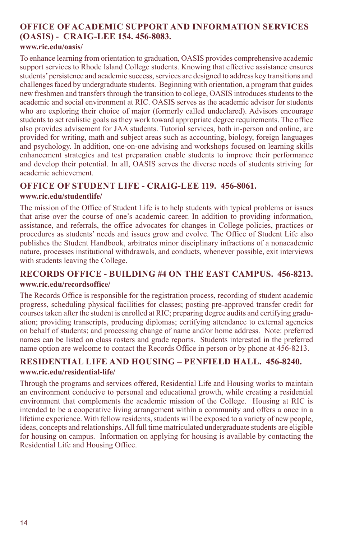## **OFFICE OF ACADEMIC SUPPORT AND INFORMATION SERVICES (OASIS) - Craig-Lee 154. 456-8083.**

#### **www.ric.edu/oasis/**

To enhance learning from orientation to graduation, OASIS provides comprehensive academic support services to Rhode Island College students. Knowing that effective assistance ensures students' persistence and academic success, services are designed to address key transitions and challenges faced by undergraduate students. Beginning with orientation, a program that guides new freshmen and transfers through the transition to college, OASIS introduces students to the academic and social environment at RIC. OASIS serves as the academic advisor for students who are exploring their choice of major (formerly called undeclared). Advisors encourage students to set realistic goals as they work toward appropriate degree requirements. The office also provides advisement for JAA students. Tutorial services, both in-person and online, are provided for writing, math and subject areas such as accounting, biology, foreign languages and psychology. In addition, one-on-one advising and workshops focused on learning skills enhancement strategies and test preparation enable students to improve their performance and develop their potential. In all, OASIS serves the diverse needs of students striving for academic achievement.

#### **OFFICE OF STUDENT LIFE - Craig-Lee 119. 456-8061.**

#### **www.ric.edu/studentlife/**

The mission of the Office of Student Life is to help students with typical problems or issues that arise over the course of one's academic career. In addition to providing information, assistance, and referrals, the office advocates for changes in College policies, practices or procedures as students' needs and issues grow and evolve. The Office of Student Life also publishes the Student Handbook, arbitrates minor disciplinary infractions of a nonacademic nature, processes institutional withdrawals, and conducts, whenever possible, exit interviews with students leaving the College.

#### **RECORDS OFFICE - Building #4 on the East Campus. 456-8213. www.ric.edu/recordsoffice/**

The Records Office is responsible for the registration process, recording of student academic progress, scheduling physical facilities for classes; posting pre-approved transfer credit for courses taken after the student is enrolled at RIC; preparing degree audits and certifying graduation; providing transcripts, producing diplomas; certifying attendance to external agencies on behalf of students; and processing change of name and/or home address. Note: preferred names can be listed on class rosters and grade reports. Students interested in the preferred name option are welcome to contact the Records Office in person or by phone at 456-8213.

#### **RESIDENTIAL LIFE AND HOUSING – PENFIELD HALL. 456-8240. www.ric.edu/residential-life/**

Through the programs and services offered, Residential Life and Housing works to maintain an environment conducive to personal and educational growth, while creating a residential environment that complements the academic mission of the College. Housing at RIC is intended to be a cooperative living arrangement within a community and offers a once in a lifetime experience. With fellow residents, students will be exposed to a variety of new people, ideas, concepts and relationships. All full time matriculated undergraduate students are eligible for housing on campus. Information on applying for housing is available by contacting the Residential Life and Housing Office.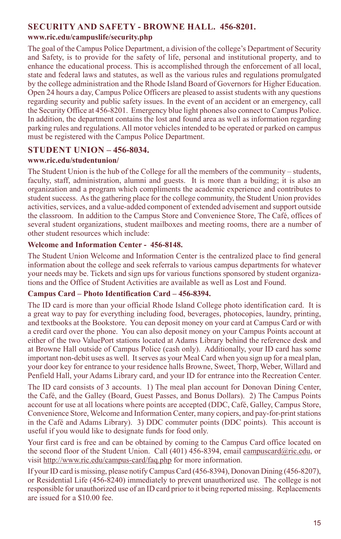#### **SECURITY AND SAFETY - Browne Hall. 456-8201.**

#### **www.ric.edu/campuslife/security.php**

The goal of the Campus Police Department, a division of the college's Department of Security and Safety, is to provide for the safety of life, personal and institutional property, and to enhance the educational process. This is accomplished through the enforcement of all local, state and federal laws and statutes, as well as the various rules and regulations promulgated by the college administration and the Rhode Island Board of Governors for Higher Education. Open 24 hours a day, Campus Police Officers are pleased to assist students with any questions regarding security and public safety issues. In the event of an accident or an emergency, call the Security Office at 456-8201. Emergency blue light phones also connect to Campus Police. In addition, the department contains the lost and found area as well as information regarding parking rules and regulations. All motor vehicles intended to be operated or parked on campus must be registered with the Campus Police Department.

#### **STUDENT UNION – 456-8034.**

#### **www.ric.edu/studentunion/**

The Student Union is the hub of the College for all the members of the community – students, faculty, staff, administration, alumni and guests. It is more than a building; it is also an organization and a program which compliments the academic experience and contributes to student success. As the gathering place for the college community, the Student Union provides activities, services, and a value-added component of extended advisement and support outside the classroom. In addition to the Campus Store and Convenience Store, The Café, offices of several student organizations, student mailboxes and meeting rooms, there are a number of other student resources which include:

#### **Welcome and Information Center - 456-8148.**

The Student Union Welcome and Information Center is the centralized place to find general information about the college and seek referrals to various campus departments for whatever your needs may be. Tickets and sign ups for various functions sponsored by student organizations and the Office of Student Activities are available as well as Lost and Found.

#### **Campus Card – Photo Identification Card – 456-8394.**

The ID card is more than your official Rhode Island College photo identification card. It is a great way to pay for everything including food, beverages, photocopies, laundry, printing, and textbooks at the Bookstore. You can deposit money on your card at Campus Card or with a credit card over the phone. You can also deposit money on your Campus Points account at either of the two ValuePort stations located at Adams Library behind the reference desk and at Browne Hall outside of Campus Police (cash only). Additionally, your ID card has some important non-debit uses as well. It serves as your Meal Card when you sign up for a meal plan, your door key for entrance to your residence halls Browne, Sweet, Thorp, Weber, Willard and Penfield Hall, your Adams Library card, and your ID for entrance into the Recreation Center.

The ID card consists of 3 accounts. 1) The meal plan account for Donovan Dining Center, the Café, and the Galley (Board, Guest Passes, and Bonus Dollars). 2) The Campus Points account for use at all locations where points are accepted (DDC, Café, Galley, Campus Store, Convenience Store, Welcome and Information Center, many copiers, and pay-for-print stations in the Café and Adams Library). 3) DDC commuter points (DDC points). This account is useful if you would like to designate funds for food only.

Your first card is free and can be obtained by coming to the Campus Card office located on the second floor of the Student Union. Call (401) 456-8394, email campuscard@ric.edu, or visit http://www.ric.edu/campus-card/faq.php for more information.

If your ID card is missing, please notify Campus Card (456-8394), Donovan Dining (456-8207), or Residential Life (456-8240) immediately to prevent unauthorized use. The college is not responsible for unauthorized use of an ID card prior to it being reported missing. Replacements are issued for a \$10.00 fee.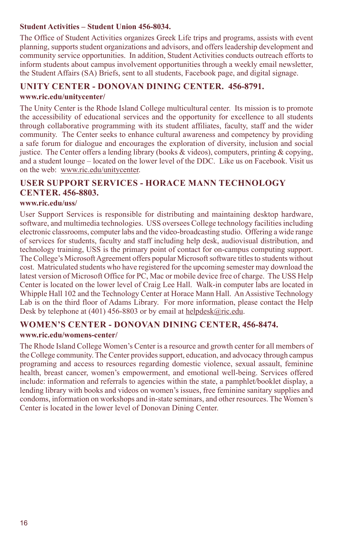#### **Student Activities – Student Union 456-8034.**

The Office of Student Activities organizes Greek Life trips and programs, assists with event planning, supports student organizations and advisors, and offers leadership development and community service opportunities. In addition, Student Activities conducts outreach efforts to inform students about campus involvement opportunities through a weekly email newsletter, the Student Affairs (SA) Briefs, sent to all students, Facebook page, and digital signage.

#### **UNITY CENTER - Donovan Dining Center. 456-8791.**

#### **www.ric.edu/unitycenter/**

The Unity Center is the Rhode Island College multicultural center. Its mission is to promote the accessibility of educational services and the opportunity for excellence to all students through collaborative programming with its student affiliates, faculty, staff and the wider community. The Center seeks to enhance cultural awareness and competency by providing a safe forum for dialogue and encourages the exploration of diversity, inclusion and social justice. The Center offers a lending library (books & videos), computers, printing & copying, and a student lounge – located on the lower level of the DDC. Like us on Facebook. Visit us on the web: www.ric.edu/unitycenter.

#### **USER SUPPORT SERVICES - Horace Mann Technology Center. 456-8803.**

#### **www.ric.edu/uss/**

User Support Services is responsible for distributing and maintaining desktop hardware, software, and multimedia technologies. USS oversees College technology facilities including electronic classrooms, computer labs and the video-broadcasting studio. Offering a wide range of services for students, faculty and staff including help desk, audiovisual distribution, and technology training, USS is the primary point of contact for on-campus computing support. The College's Microsoft Agreement offers popular Microsoft software titles to students without cost. Matriculated students who have registered for the upcoming semester may download the latest version of Microsoft Office for PC, Mac or mobile device free of charge. The USS Help Center is located on the lower level of Craig Lee Hall. Walk-in computer labs are located in Whipple Hall 102 and the Technology Center at Horace Mann Hall. An Assistive Technology Lab is on the third floor of Adams Library. For more information, please contact the Help Desk by telephone at (401) 456-8803 or by email at helpdesk@ric.edu.

#### **WOMEN'S CENTER - Donovan Dining Center, 456-8474. www.ric.edu/womens-center/**

The Rhode Island College Women's Center is a resource and growth center for all members of the College community. The Center provides support, education, and advocacy through campus programing and access to resources regarding domestic violence, sexual assault, feminine health, breast cancer, women's empowerment, and emotional well-being. Services offered include: information and referrals to agencies within the state, a pamphlet/booklet display, a lending library with books and videos on women's issues, free feminine sanitary supplies and condoms, information on workshops and in-state seminars, and other resources. The Women's Center is located in the lower level of Donovan Dining Center.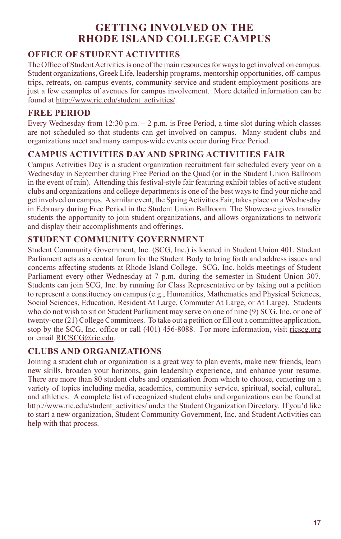### **Getting Involved on the Rhode Island College Campus**

#### **Office of Student Activities**

The Office of Student Activities is one of the main resources for ways to get involved on campus. Student organizations, Greek Life, leadership programs, mentorship opportunities, off-campus trips, retreats, on-campus events, community service and student employment positions are just a few examples of avenues for campus involvement. More detailed information can be found at http://www.ric.edu/student\_activities/.

#### **Free Period**

Every Wednesday from  $12:30$  p.m.  $-2$  p.m. is Free Period, a time-slot during which classes are not scheduled so that students can get involved on campus. Many student clubs and organizations meet and many campus-wide events occur during Free Period.

#### **Campus Activities Day and SPRING ACTIVITIES FAIR**

Campus Activities Day is a student organization recruitment fair scheduled every year on a Wednesday in September during Free Period on the Quad (or in the Student Union Ballroom in the event of rain). Attending this festival-style fair featuring exhibit tables of active student clubs and organizations and college departments is one of the best ways to find your niche and get involved on campus. A similar event, the Spring Activities Fair, takes place on a Wednesday in February during Free Period in the Student Union Ballroom. The Showcase gives transfer students the opportunity to join student organizations, and allows organizations to network and display their accomplishments and offerings.

#### **Student Community Government**

Student Community Government, Inc. (SCG, Inc.) is located in Student Union 401. Student Parliament acts as a central forum for the Student Body to bring forth and address issues and concerns affecting students at Rhode Island College. SCG, Inc. holds meetings of Student Parliament every other Wednesday at 7 p.m. during the semester in Student Union 307. Students can join SCG, Inc. by running for Class Representative or by taking out a petition to represent a constituency on campus (e.g., Humanities, Mathematics and Physical Sciences, Social Sciences, Education, Resident At Large, Commuter At Large, or At Large). Students who do not wish to sit on Student Parliament may serve on one of nine (9) SCG, Inc. or one of twenty-one (21) College Committees. To take out a petition or fill out a committee application, stop by the SCG, Inc. office or call (401) 456-8088. For more information, visit ricscg.org or email RICSCG@ric.edu.

#### **Clubs and Organizations**

Joining a student club or organization is a great way to plan events, make new friends, learn new skills, broaden your horizons, gain leadership experience, and enhance your resume. There are more than 80 student clubs and organization from which to choose, centering on a variety of topics including media, academics, community service, spiritual, social, cultural, and athletics. A complete list of recognized student clubs and organizations can be found at http://www.ric.edu/student\_activities/ under the Student Organization Directory. If you'd like to start a new organization, Student Community Government, Inc. and Student Activities can help with that process.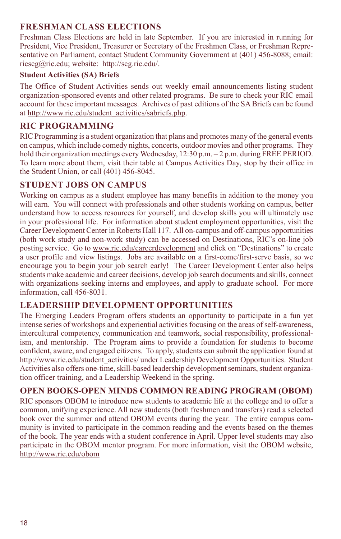#### **Freshman Class Elections**

Freshman Class Elections are held in late September. If you are interested in running for President, Vice President, Treasurer or Secretary of the Freshmen Class, or Freshman Representative on Parliament, contact Student Community Government at (401) 456-8088; email: ricscg@ric.edu; website: http://scg.ric.edu/.

#### **Student Activities (SA) Briefs**

The Office of Student Activities sends out weekly email announcements listing student organization-sponsored events and other related programs. Be sure to check your RIC email account for these important messages. Archives of past editions of the SA Briefs can be found at http://www.ric.edu/student\_activities/sabriefs.php.

#### **RIC Programming**

RIC Programming is a student organization that plans and promotes many of the general events on campus, which include comedy nights, concerts, outdoor movies and other programs. They hold their organization meetings every Wednesday, 12:30 p.m. – 2 p.m. during FREE PERIOD. To learn more about them, visit their table at Campus Activities Day, stop by their office in the Student Union, or call (401) 456-8045.

#### **Student Jobs on Campus**

Working on campus as a student employee has many benefits in addition to the money you will earn. You will connect with professionals and other students working on campus, better understand how to access resources for yourself, and develop skills you will ultimately use in your professional life. For information about student employment opportunities, visit the Career Development Center in Roberts Hall 117. All on-campus and off-campus opportunities (both work study and non-work study) can be accessed on Destinations, RIC's on-line job posting service. Go to www.ric.edu/careerdevelopment and click on "Destinations" to create a user profile and view listings. Jobs are available on a first-come/first-serve basis, so we encourage you to begin your job search early! The Career Development Center also helps students make academic and career decisions, develop job search documents and skills, connect with organizations seeking interns and employees, and apply to graduate school. For more information, call 456-8031.

#### **Leadership Development Opportunities**

The Emerging Leaders Program offers students an opportunity to participate in a fun yet intense series of workshops and experiential activities focusing on the areas of self-awareness, intercultural competency, communication and teamwork, social responsibility, professionalism, and mentorship. The Program aims to provide a foundation for students to become confident, aware, and engaged citizens. To apply, students can submit the application found at http://www.ric.edu/student\_activities/ under Leadership Development Opportunities. Student Activities also offers one-time, skill-based leadership development seminars, student organization officer training, and a Leadership Weekend in the spring.

#### **Open Books-Open Minds Common Reading Program (OBOM)**

RIC sponsors OBOM to introduce new students to academic life at the college and to offer a common, unifying experience. All new students (both freshmen and transfers) read a selected book over the summer and attend OBOM events during the year. The entire campus community is invited to participate in the common reading and the events based on the themes of the book. The year ends with a student conference in April. Upper level students may also participate in the OBOM mentor program. For more information, visit the OBOM website, http://www.ric.edu/obom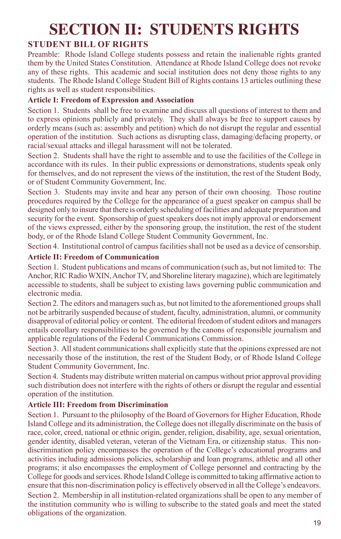## **SECTION II: STUDENTS RIGHTS**

#### **Student Bill of Rights**

Preamble: Rhode Island College students possess and retain the inalienable rights granted them by the United States Constitution. Attendance at Rhode Island College does not revoke any of these rights. This academic and social institution does not deny those rights to any students. The Rhode Island College Student Bill of Rights contains 13 articles outlining these rights as well as student responsibilities.

#### **Article I: Freedom of Expression and Association**

Section 1. Students shall be free to examine and discuss all questions of interest to them and to express opinions publicly and privately. They shall always be free to support causes by orderly means (such as: assembly and petition) which do not disrupt the regular and essential operation of the institution. Such actions as disrupting class, damaging/defacing property, or racial/sexual attacks and illegal harassment will not be tolerated.

Section 2. Students shall have the right to assemble and to use the facilities of the College in accordance with its rules. In their public expressions or demonstrations, students speak only for themselves, and do not represent the views of the institution, the rest of the Student Body, or of Student Community Government, Inc.

Section 3. Students may invite and hear any person of their own choosing. Those routine procedures required by the College for the appearance of a guest speaker on campus shall be designed only to insure that there is orderly scheduling of facilities and adequate preparation and security for the event. Sponsorship of guest speakers does not imply approval or endorsement of the views expressed, either by the sponsoring group, the institution, the rest of the student body, or of the Rhode Island College Student Community Government, Inc.

Section 4. Institutional control of campus facilities shall not be used as a device of censorship.

#### **Article II: Freedom of Communication**

Section 1. Student publications and means of communication (such as, but not limited to: The Anchor, RIC Radio WXIN, Anchor TV, and Shoreline literary magazine), which are legitimately accessible to students, shall be subject to existing laws governing public communication and electronic media.

Section 2. The editors and managers such as, but not limited to the aforementioned groups shall not be arbitrarily suspended because of student, faculty, administration, alumni, or community disapproval of editorial policy or content. The editorial freedom of student editors and managers entails corollary responsibilities to be governed by the canons of responsible journalism and applicable regulations of the Federal Communications Commission.

Section 3. All student communications shall explicitly state that the opinions expressed are not necessarily those of the institution, the rest of the Student Body, or of Rhode Island College Student Community Government, Inc.

Section 4. Students may distribute written material on campus without prior approval providing such distribution does not interfere with the rights of others or disrupt the regular and essential operation of the institution.

#### **Article III: Freedom from Discrimination**

Section 1. Pursuant to the philosophy of the Board of Governors for Higher Education, Rhode Island College and its administration, the College does not illegally discriminate on the basis of race, color, creed, national or ethnic origin, gender, religion, disability, age, sexual orientation, gender identity, disabled veteran, veteran of the Vietnam Era, or citizenship status. This nondiscrimination policy encompasses the operation of the College's educational programs and activities including admissions policies, scholarship and loan programs, athletic and all other programs; it also encompasses the employment of College personnel and contracting by the College for goods and services. Rhode Island College is committed to taking affirmative action to ensure that this non-discrimination policy is effectively observed in all the College's endeavors. Section 2. Membership in all institution-related organizations shall be open to any member of the institution community who is willing to subscribe to the stated goals and meet the stated obligations of the organization.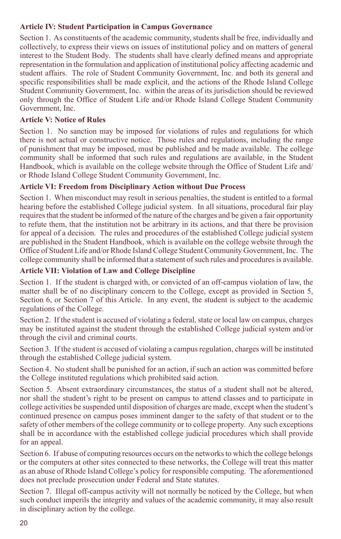#### **Article IV: Student Participation in Campus Governance**

Section 1. As constituents of the academic community, students shall be free, individually and collectively, to express their views on issues of institutional policy and on matters of general interest to the Student Body. The students shall have clearly defined means and appropriate representation in the formulation and application of institutional policy affecting academic and student affairs. The role of Student Community Government, Inc. and both its general and specific responsibilities shall be made explicit, and the actions of the Rhode Island College Student Community Government, Inc. within the areas of its jurisdiction should be reviewed only through the Office of Student Life and/or Rhode Island College Student Community Government, Inc.

#### **Article V: Notice of Rules**

Section 1. No sanction may be imposed for violations of rules and regulations for which there is not actual or constructive notice. Those rules and regulations, including the range of punishment that may be imposed, must be published and be made available. The college community shall be informed that such rules and regulations are available, in the Student Handbook, which is available on the college website through the Office of Student Life and/ or Rhode Island College Student Community Government, Inc.

#### **Article VI: Freedom from Disciplinary Action without Due Process**

Section 1. When misconduct may result in serious penalties, the student is entitled to a formal hearing before the established College judicial system. In all situations, procedural fair play requires that the student be informed of the nature of the charges and be given a fair opportunity to refute them, that the institution not be arbitrary in its actions, and that there be provision for appeal of a decision. The rules and procedures of the established College judicial system are published in the Student Handbook, which is available on the college website through the Office of Student Life and/or Rhode Island College Student Community Government, Inc. The college community shall be informed that a statement of such rules and procedures is available.

#### **Article VII: Violation of Law and College Discipline**

Section 1. If the student is charged with, or convicted of an off-campus violation of law, the matter shall be of no disciplinary concern to the College, except as provided in Section 5, Section 6, or Section 7 of this Article. In any event, the student is subject to the academic regulations of the College.

Section 2. If the student is accused of violating a federal, state or local law on campus, charges may be instituted against the student through the established College judicial system and/or through the civil and criminal courts.

Section 3. If the student is accused of violating a campus regulation, charges will be instituted through the established College judicial system.

Section 4. No student shall be punished for an action, if such an action was committed before the College instituted regulations which prohibited said action.

Section 5. Absent extraordinary circumstances, the status of a student shall not be altered, nor shall the student's right to be present on campus to attend classes and to participate in college activities be suspended until disposition of charges are made, except when the student's continued presence on campus poses imminent danger to the safety of that student or to the safety of other members of the college community or to college property. Any such exceptions shall be in accordance with the established college judicial procedures which shall provide for an appeal.

Section 6. If abuse of computing resources occurs on the networks to which the college belongs or the computers at other sites connected to these networks, the College will treat this matter as an abuse of Rhode Island College's policy for responsible computing. The aforementioned does not preclude prosecution under Federal and State statutes.

Section 7. Illegal off-campus activity will not normally be noticed by the College, but when such conduct imperils the integrity and values of the academic community, it may also result in disciplinary action by the college.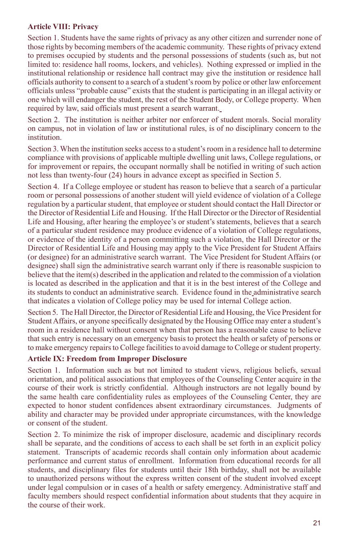#### **Article VIII: Privacy**

Section 1. Students have the same rights of privacy as any other citizen and surrender none of those rights by becoming members of the academic community. These rights of privacy extend to premises occupied by students and the personal possessions of students (such as, but not limited to: residence hall rooms, lockers, and vehicles). Nothing expressed or implied in the institutional relationship or residence hall contract may give the institution or residence hall officials authority to consent to a search of a student's room by police or other law enforcement officials unless "probable cause" exists that the student is participating in an illegal activity or one which will endanger the student, the rest of the Student Body, or College property. When required by law, said officials must present a search warrant.

Section 2. The institution is neither arbiter nor enforcer of student morals. Social morality on campus, not in violation of law or institutional rules, is of no disciplinary concern to the institution.

Section 3. When the institution seeks access to a student's room in a residence hall to determine compliance with provisions of applicable multiple dwelling unit laws, College regulations, or for improvement or repairs, the occupant normally shall be notified in writing of such action not less than twenty-four (24) hours in advance except as specified in Section 5.

Section 4. If a College employee or student has reason to believe that a search of a particular room or personal possessions of another student will yield evidence of violation of a College regulation by a particular student, that employee or student should contact the Hall Director or the Director of Residential Life and Housing. If the Hall Director or the Director of Residential Life and Housing, after hearing the employee's or student's statements, believes that a search of a particular student residence may produce evidence of a violation of College regulations, or evidence of the identity of a person committing such a violation, the Hall Director or the Director of Residential Life and Housing may apply to the Vice President for Student Affairs (or designee) for an administrative search warrant. The Vice President for Student Affairs (or designee) shall sign the administrative search warrant only if there is reasonable suspicion to believe that the item(s) described in the application and related to the commission of a violation is located as described in the application and that it is in the best interest of the College and its students to conduct an administrative search. Evidence found in the administrative search that indicates a violation of College policy may be used for internal College action.

Section 5. The Hall Director, the Director of Residential Life and Housing, the Vice President for Student Affairs, or anyone specifically designated by the Housing Office may enter a student's room in a residence hall without consent when that person has a reasonable cause to believe that such entry is necessary on an emergency basis to protect the health or safety of persons or to make emergency repairs to College facilities to avoid damage to College or student property.

#### **Article IX: Freedom from Improper Disclosure**

Section 1. Information such as but not limited to student views, religious beliefs, sexual orientation, and political associations that employees of the Counseling Center acquire in the course of their work is strictly confidential. Although instructors are not legally bound by the same health care confidentiality rules as employees of the Counseling Center, they are expected to honor student confidences absent extraordinary circumstances. Judgments of ability and character may be provided under appropriate circumstances, with the knowledge or consent of the student.

Section 2. To minimize the risk of improper disclosure, academic and disciplinary records shall be separate, and the conditions of access to each shall be set forth in an explicit policy statement. Transcripts of academic records shall contain only information about academic performance and current status of enrollment. Information from educational records for all students, and disciplinary files for students until their 18th birthday, shall not be available to unauthorized persons without the express written consent of the student involved except under legal compulsion or in cases of a health or safety emergency. Administrative staff and faculty members should respect confidential information about students that they acquire in the course of their work.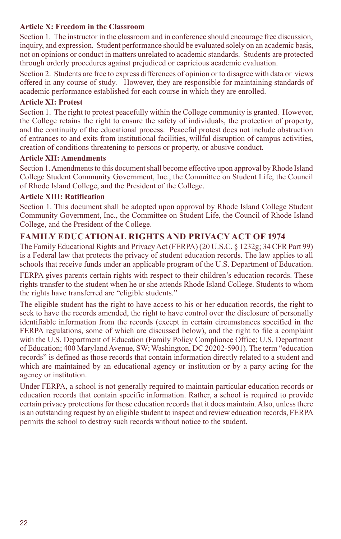#### **Article X: Freedom in the Classroom**

Section 1. The instructor in the classroom and in conference should encourage free discussion, inquiry, and expression. Student performance should be evaluated solely on an academic basis, not on opinions or conduct in matters unrelated to academic standards. Students are protected through orderly procedures against prejudiced or capricious academic evaluation.

Section 2. Students are free to express differences of opinion or to disagree with data or views offered in any course of study. However, they are responsible for maintaining standards of academic performance established for each course in which they are enrolled.

#### **Article XI: Protest**

Section 1. The right to protest peacefully within the College community is granted. However, the College retains the right to ensure the safety of individuals, the protection of property, and the continuity of the educational process. Peaceful protest does not include obstruction of entrances to and exits from institutional facilities, willful disruption of campus activities, creation of conditions threatening to persons or property, or abusive conduct.

#### **Article XII: Amendments**

Section 1. Amendments to this document shall become effective upon approval by Rhode Island College Student Community Government, Inc., the Committee on Student Life, the Council of Rhode Island College, and the President of the College.

#### **Article XIII: Ratification**

Section 1. This document shall be adopted upon approval by Rhode Island College Student Community Government, Inc., the Committee on Student Life, the Council of Rhode Island College, and the President of the College.

#### **Family Educational Rights and Privacy Act of 1974**

The Family Educational Rights and Privacy Act (FERPA) (20 U.S.C. § 1232g; 34 CFR Part 99) is a Federal law that protects the privacy of student education records. The law applies to all schools that receive funds under an applicable program of the U.S. Department of Education.

FERPA gives parents certain rights with respect to their children's education records. These rights transfer to the student when he or she attends Rhode Island College. Students to whom the rights have transferred are "eligible students."

The eligible student has the right to have access to his or her education records, the right to seek to have the records amended, the right to have control over the disclosure of personally identifiable information from the records (except in certain circumstances specified in the FERPA regulations, some of which are discussed below), and the right to file a complaint with the U.S. Department of Education (Family Policy Compliance Office; U.S. Department of Education; 400 Maryland Avenue, SW; Washington, DC 20202-5901). The term "education records" is defined as those records that contain information directly related to a student and which are maintained by an educational agency or institution or by a party acting for the agency or institution.

Under FERPA, a school is not generally required to maintain particular education records or education records that contain specific information. Rather, a school is required to provide certain privacy protections for those education records that it does maintain. Also, unless there is an outstanding request by an eligible student to inspect and review education records, FERPA permits the school to destroy such records without notice to the student.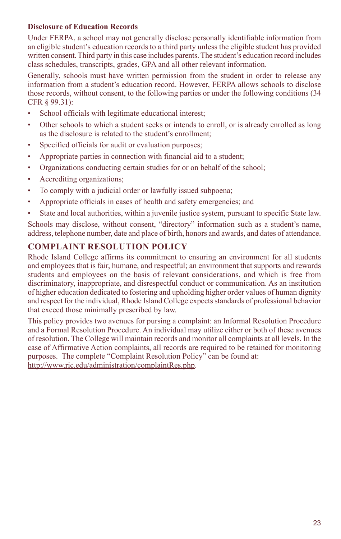#### **Disclosure of Education Records**

Under FERPA, a school may not generally disclose personally identifiable information from an eligible student's education records to a third party unless the eligible student has provided written consent. Third party in this case includes parents. The student's education record includes class schedules, transcripts, grades, GPA and all other relevant information.

Generally, schools must have written permission from the student in order to release any information from a student's education record. However, FERPA allows schools to disclose those records, without consent, to the following parties or under the following conditions (34 CFR § 99.31):

- • School officials with legitimate educational interest;
- • Other schools to which a student seeks or intends to enroll, or is already enrolled as long as the disclosure is related to the student's enrollment;
- Specified officials for audit or evaluation purposes;
- • Appropriate parties in connection with financial aid to a student;
- • Organizations conducting certain studies for or on behalf of the school;
- Accrediting organizations;
- • To comply with a judicial order or lawfully issued subpoena;
- Appropriate officials in cases of health and safety emergencies; and
- • State and local authorities, within a juvenile justice system, pursuant to specific State law.

Schools may disclose, without consent, "directory" information such as a student's name, address, telephone number, date and place of birth, honors and awards, and dates of attendance.

### **Complaint Resolution Policy**

Rhode Island College affirms its commitment to ensuring an environment for all students and employees that is fair, humane, and respectful; an environment that supports and rewards students and employees on the basis of relevant considerations, and which is free from discriminatory, inappropriate, and disrespectful conduct or communication. As an institution of higher education dedicated to fostering and upholding higher order values of human dignity and respect for the individual, Rhode Island College expects standards of professional behavior that exceed those minimally prescribed by law.

This policy provides two avenues for pursing a complaint: an Informal Resolution Procedure and a Formal Resolution Procedure. An individual may utilize either or both of these avenues of resolution. The College will maintain records and monitor all complaints at all levels. In the case of Affirmative Action complaints, all records are required to be retained for monitoring purposes. The complete "Complaint Resolution Policy" can be found at: http://www.ric.edu/administration/complaintRes.php.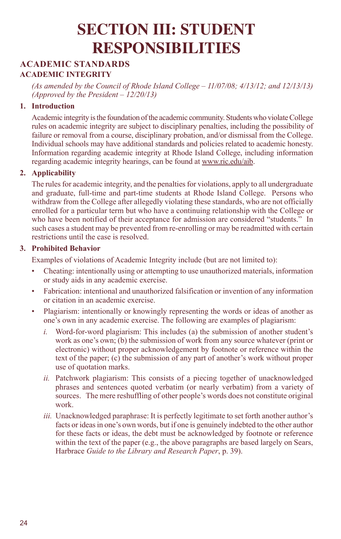## **SECTION III: STUDENT RESPONSIBILITIES**

#### **Academic Standards ACADEMIC INTEGRITY**

*(As amended by the Council of Rhode Island College – 11/07/08; 4/13/12; and 12/13/13) (Approved by the President – 12/20/13)*

#### **1. Introduction**

Academic integrity is the foundation of the academic community. Students who violate College rules on academic integrity are subject to disciplinary penalties, including the possibility of failure or removal from a course, disciplinary probation, and/or dismissal from the College. Individual schools may have additional standards and policies related to academic honesty. Information regarding academic integrity at Rhode Island College, including information regarding academic integrity hearings, can be found at www.ric.edu/aib.

#### **2. Applicability**

The rules for academic integrity, and the penalties for violations, apply to all undergraduate and graduate, full-time and part-time students at Rhode Island College. Persons who withdraw from the College after allegedly violating these standards, who are not officially enrolled for a particular term but who have a continuing relationship with the College or who have been notified of their acceptance for admission are considered "students." In such cases a student may be prevented from re-enrolling or may be readmitted with certain restrictions until the case is resolved.

#### **3. Prohibited Behavior**

Examples of violations of Academic Integrity include (but are not limited to):

- • Cheating: intentionally using or attempting to use unauthorized materials, information or study aids in any academic exercise.
- Fabrication: intentional and unauthorized falsification or invention of any information or citation in an academic exercise.
- Plagiarism: intentionally or knowingly representing the words or ideas of another as one's own in any academic exercise. The following are examples of plagiarism:
	- *i.* Word-for-word plagiarism: This includes (a) the submission of another student's work as one's own; (b) the submission of work from any source whatever (print or electronic) without proper acknowledgement by footnote or reference within the text of the paper; (c) the submission of any part of another's work without proper use of quotation marks.
	- *ii.* Patchwork plagiarism: This consists of a piecing together of unacknowledged phrases and sentences quoted verbatim (or nearly verbatim) from a variety of sources. The mere reshuffling of other people's words does not constitute original work.
	- *iii.* Unacknowledged paraphrase: It is perfectly legitimate to set forth another author's facts or ideas in one's own words, but if one is genuinely indebted to the other author for these facts or ideas, the debt must be acknowledged by footnote or reference within the text of the paper (e.g., the above paragraphs are based largely on Sears, Harbrace *Guide to the Library and Research Paper*, p. 39).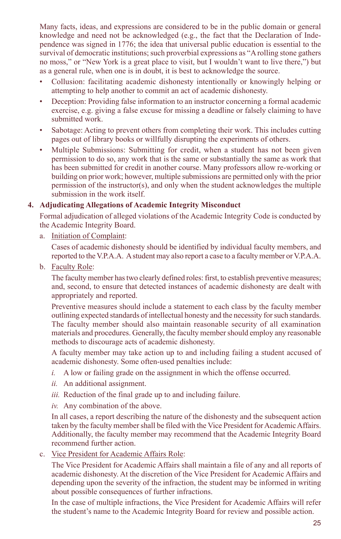Many facts, ideas, and expressions are considered to be in the public domain or general knowledge and need not be acknowledged (e.g., the fact that the Declaration of Independence was signed in 1776; the idea that universal public education is essential to the survival of democratic institutions; such proverbial expressions as "A rolling stone gathers no moss," or "New York is a great place to visit, but I wouldn't want to live there,") but as a general rule, when one is in doubt, it is best to acknowledge the source.

- Collusion: facilitating academic dishonesty intentionally or knowingly helping or attempting to help another to commit an act of academic dishonesty.
- Deception: Providing false information to an instructor concerning a formal academic exercise, e.g. giving a false excuse for missing a deadline or falsely claiming to have submitted work.
- Sabotage: Acting to prevent others from completing their work. This includes cutting pages out of library books or willfully disrupting the experiments of others.
- Multiple Submissions: Submitting for credit, when a student has not been given permission to do so, any work that is the same or substantially the same as work that has been submitted for credit in another course. Many professors allow re-working or building on prior work; however, multiple submissions are permitted only with the prior permission of the instructor(s), and only when the student acknowledges the multiple submission in the work itself.

#### **4. Adjudicating Allegations of Academic Integrity Misconduct**

Formal adjudication of alleged violations of the Academic Integrity Code is conducted by the Academic Integrity Board.

a. Initiation of Complaint:

Cases of academic dishonesty should be identified by individual faculty members, and reported to the V.P.A.A. A student may also report a case to a faculty member or V.P.A.A.

b. Faculty Role:

The faculty member has two clearly defined roles: first, to establish preventive measures; and, second, to ensure that detected instances of academic dishonesty are dealt with appropriately and reported.

Preventive measures should include a statement to each class by the faculty member outlining expected standards of intellectual honesty and the necessity for such standards. The faculty member should also maintain reasonable security of all examination materials and procedures. Generally, the faculty member should employ any reasonable methods to discourage acts of academic dishonesty.

A faculty member may take action up to and including failing a student accused of academic dishonesty. Some often-used penalties include:

- *i.* A low or failing grade on the assignment in which the offense occurred.
- *ii.* An additional assignment.
- *iii.* Reduction of the final grade up to and including failure.
- *iv.* Any combination of the above.

In all cases, a report describing the nature of the dishonesty and the subsequent action taken by the faculty member shall be filed with the Vice President for Academic Affairs. Additionally, the faculty member may recommend that the Academic Integrity Board recommend further action.

c. Vice President for Academic Affairs Role:

The Vice President for Academic Affairs shall maintain a file of any and all reports of academic dishonesty. At the discretion of the Vice President for Academic Affairs and depending upon the severity of the infraction, the student may be informed in writing about possible consequences of further infractions.

In the case of multiple infractions, the Vice President for Academic Affairs will refer the student's name to the Academic Integrity Board for review and possible action.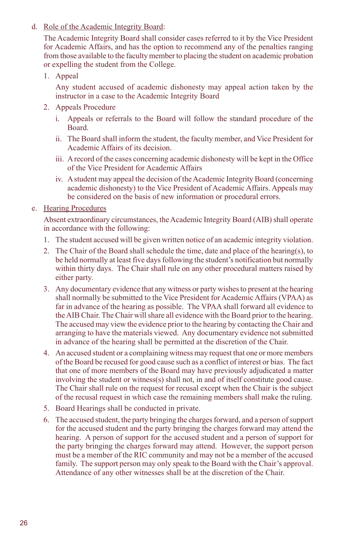#### d. Role of the Academic Integrity Board:

The Academic Integrity Board shall consider cases referred to it by the Vice President for Academic Affairs, and has the option to recommend any of the penalties ranging from those available to the faculty member to placing the student on academic probation or expelling the student from the College.

1. Appeal

Any student accused of academic dishonesty may appeal action taken by the instructor in a case to the Academic Integrity Board

- 2. Appeals Procedure
	- i. Appeals or referrals to the Board will follow the standard procedure of the Board.
	- ii. The Board shall inform the student, the faculty member, and Vice President for Academic Affairs of its decision.
	- iii. A record of the cases concerning academic dishonesty will be kept in the Office of the Vice President for Academic Affairs
	- iv. A student may appeal the decision of the Academic Integrity Board (concerning academic dishonesty) to the Vice President of Academic Affairs. Appeals may be considered on the basis of new information or procedural errors.

#### e. Hearing Procedures

Absent extraordinary circumstances, the Academic Integrity Board (AIB) shall operate in accordance with the following:

- 1. The student accused will be given written notice of an academic integrity violation.
- 2. The Chair of the Board shall schedule the time, date and place of the hearing(s), to be held normally at least five days following the student's notification but normally within thirty days. The Chair shall rule on any other procedural matters raised by either party.
- 3. Any documentary evidence that any witness or party wishes to present at the hearing shall normally be submitted to the Vice President for Academic Affairs (VPAA) as far in advance of the hearing as possible. The VPAA shall forward all evidence to the AIB Chair. The Chair will share all evidence with the Board prior to the hearing. The accused may view the evidence prior to the hearing by contacting the Chair and arranging to have the materials viewed. Any documentary evidence not submitted in advance of the hearing shall be permitted at the discretion of the Chair.
- 4. An accused student or a complaining witness may request that one or more members of the Board be recused for good cause such as a conflict of interest or bias. The fact that one of more members of the Board may have previously adjudicated a matter involving the student or witness(s) shall not, in and of itself constitute good cause. The Chair shall rule on the request for recusal except when the Chair is the subject of the recusal request in which case the remaining members shall make the ruling.
- 5. Board Hearings shall be conducted in private.
- 6. The accused student, the party bringing the charges forward, and a person of support for the accused student and the party bringing the charges forward may attend the hearing. A person of support for the accused student and a person of support for the party bringing the charges forward may attend. However, the support person must be a member of the RIC community and may not be a member of the accused family. The support person may only speak to the Board with the Chair's approval. Attendance of any other witnesses shall be at the discretion of the Chair.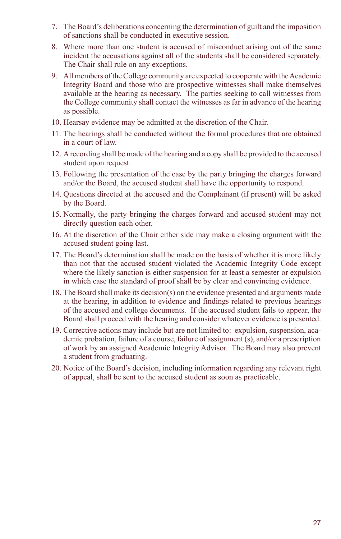- 7. The Board's deliberations concerning the determination of guilt and the imposition of sanctions shall be conducted in executive session.
- 8. Where more than one student is accused of misconduct arising out of the same incident the accusations against all of the students shall be considered separately. The Chair shall rule on any exceptions.
- 9. All members of the College community are expected to cooperate with the Academic Integrity Board and those who are prospective witnesses shall make themselves available at the hearing as necessary. The parties seeking to call witnesses from the College community shall contact the witnesses as far in advance of the hearing as possible.
- 10. Hearsay evidence may be admitted at the discretion of the Chair.
- 11. The hearings shall be conducted without the formal procedures that are obtained in a court of law.
- 12. A recording shall be made of the hearing and a copy shall be provided to the accused student upon request.
- 13. Following the presentation of the case by the party bringing the charges forward and/or the Board, the accused student shall have the opportunity to respond.
- 14. Questions directed at the accused and the Complainant (if present) will be asked by the Board.
- 15. Normally, the party bringing the charges forward and accused student may not directly question each other.
- 16. At the discretion of the Chair either side may make a closing argument with the accused student going last.
- 17. The Board's determination shall be made on the basis of whether it is more likely than not that the accused student violated the Academic Integrity Code except where the likely sanction is either suspension for at least a semester or expulsion in which case the standard of proof shall be by clear and convincing evidence.
- 18. The Board shall make its decision(s) on the evidence presented and arguments made at the hearing, in addition to evidence and findings related to previous hearings of the accused and college documents. If the accused student fails to appear, the Board shall proceed with the hearing and consider whatever evidence is presented.
- 19. Corrective actions may include but are not limited to: expulsion, suspension, academic probation, failure of a course, failure of assignment (s), and/or a prescription of work by an assigned Academic Integrity Advisor. The Board may also prevent a student from graduating.
- 20. Notice of the Board's decision, including information regarding any relevant right of appeal, shall be sent to the accused student as soon as practicable.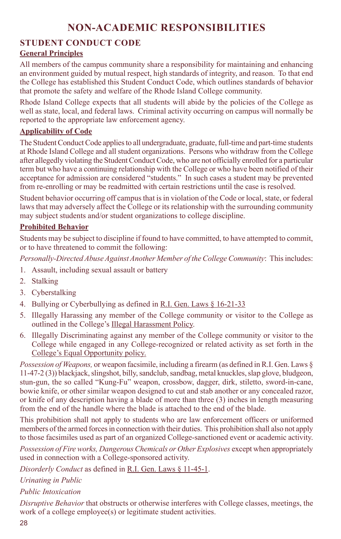### **Non-Academic responsibilities**

#### **STUDENT CONDUCT CODE**

#### **General Principles**

All members of the campus community share a responsibility for maintaining and enhancing an environment guided by mutual respect, high standards of integrity, and reason. To that end the College has established this Student Conduct Code, which outlines standards of behavior that promote the safety and welfare of the Rhode Island College community.

Rhode Island College expects that all students will abide by the policies of the College as well as state, local, and federal laws. Criminal activity occurring on campus will normally be reported to the appropriate law enforcement agency.

#### **Applicability of Code**

The Student Conduct Code applies to all undergraduate, graduate, full-time and part-time students at Rhode Island College and all student organizations. Persons who withdraw from the College after allegedly violating the Student Conduct Code, who are not officially enrolled for a particular term but who have a continuing relationship with the College or who have been notified of their acceptance for admission are considered "students." In such cases a student may be prevented from re-enrolling or may be readmitted with certain restrictions until the case is resolved.

Student behavior occurring off campus that is in violation of the Code or local, state, or federal laws that may adversely affect the College or its relationship with the surrounding community may subject students and/or student organizations to college discipline.

#### **Prohibited Behavior**

Students may be subject to discipline if found to have committed, to have attempted to commit, or to have threatened to commit the following:

*Personally-Directed Abuse Against Another Member of the College Community*:This includes:

- 1. Assault, including sexual assault or battery
- 2. Stalking
- 3. Cyberstalking
- 4. Bullying or Cyberbullying as defined in R.I. Gen. Laws § 16-21-33
- 5. Illegally Harassing any member of the College community or visitor to the College as outlined in the College's Illegal Harassment Policy.
- 6. Illegally Discriminating against any member of the College community or visitor to the College while engaged in any College-recognized or related activity as set forth in the College's Equal Opportunity policy.

*Possession of Weapons,* or weapon facsimile, including a firearm (as defined in R.I. Gen. Laws § 11-47-2 (3)) blackjack, slingshot, billy, sandclub, sandbag, metal knuckles, slap glove, bludgeon, stun-gun, the so called "Kung-Fu" weapon, crossbow, dagger, dirk, stiletto, sword-in-cane, bowie knife, or other similar weapon designed to cut and stab another or any concealed razor, or knife of any description having a blade of more than three (3) inches in length measuring from the end of the handle where the blade is attached to the end of the blade.

This prohibition shall not apply to students who are law enforcement officers or uniformed members of the armed forces in connection with their duties. This prohibition shall also not apply to those facsimiles used as part of an organized College-sanctioned event or academic activity.

*Possession of Fire works, Dangerous Chemicals or Other Explosives* except when appropriately used in connection with a College-sponsored activity.

*Disorderly Conduct* as defined in R.I. Gen. Laws § 11-45-1.

*Urinating in Public* 

*Public Intoxication*

*Disruptive Behavior* that obstructs or otherwise interferes with College classes, meetings, the work of a college employee(s) or legitimate student activities.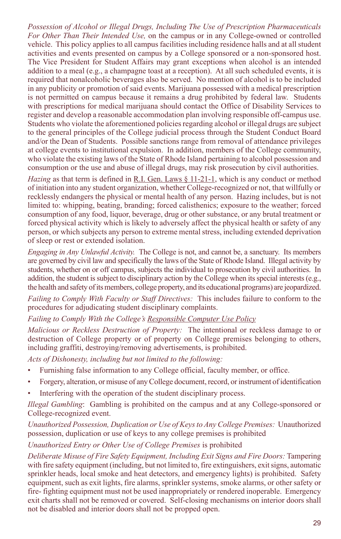*Possession of Alcohol or Illegal Drugs, Including The Use of Prescription Pharmaceuticals For Other Than Their Intended Use,* on the campus or in any College-owned or controlled vehicle. This policy applies to all campus facilities including residence halls and at all student activities and events presented on campus by a College sponsored or a non-sponsored host. The Vice President for Student Affairs may grant exceptions when alcohol is an intended addition to a meal (e.g., a champagne toast at a reception). At all such scheduled events, it is required that nonalcoholic beverages also be served. No mention of alcohol is to be included in any publicity or promotion of said events. Marijuana possessed with a medical prescription is not permitted on campus because it remains a drug prohibited by federal law. Students with prescriptions for medical marijuana should contact the Office of Disability Services to register and develop a reasonable accommodation plan involving responsible off-campus use. Students who violate the aforementioned policies regarding alcohol or illegal drugs are subject to the general principles of the College judicial process through the Student Conduct Board and/or the Dean of Students. Possible sanctions range from removal of attendance privileges at college events to institutional expulsion. In addition, members of the College community, who violate the existing laws of the State of Rhode Island pertaining to alcohol possession and consumption or the use and abuse of illegal drugs, may risk prosecution by civil authorities.

*Hazing* as that term is defined in R.I. Gen. Laws § 11-21-1, which is any conduct or method of initiation into any student organization, whether College-recognized or not, that willfully or recklessly endangers the physical or mental health of any person. Hazing includes, but is not limited to: whipping, beating, branding; forced calisthenics; exposure to the weather; forced consumption of any food, liquor, beverage, drug or other substance, or any brutal treatment or forced physical activity which is likely to adversely affect the physical health or safety of any person, or which subjects any person to extreme mental stress, including extended deprivation of sleep or rest or extended isolation.

*Engaging in Any Unlawful Activity.* The College is not, and cannot be, a sanctuary. Its members are governed by civil law and specifically the laws of the State of Rhode Island. Illegal activity by students, whether on or off campus, subjects the individual to prosecution by civil authorities. In addition, the student is subject to disciplinary action by the College when its special interests (e.g., the health and safety of its members, college property, and its educational programs) are jeopardized.

*Failing to Comply With Faculty or Staff Directives:* This includes failure to conform to the procedures for adjudicating student disciplinary complaints.

*Failing to Comply With the College's Responsible Computer Use Policy*

*Malicious or Reckless Destruction of Property:* The intentional or reckless damage to or destruction of College property or of property on College premises belonging to others, including graffiti, destroying/removing advertisements, is prohibited.

*Acts of Dishonesty, including but not limited to the following:*

- Furnishing false information to any College official, faculty member, or office.
- Forgery, alteration, or misuse of any College document, record, or instrument of identification
- Interfering with the operation of the student disciplinary process.

*Illegal Gambling*: Gambling is prohibited on the campus and at any College-sponsored or College-recognized event.

*Unauthorized Possession, Duplication or Use of Keys to Any College Premises:* Unauthorized possession, duplication or use of keys to any college premises is prohibited

*Unauthorized Entry or Other Use of College Premises* is prohibited

*Deliberate Misuse of Fire Safety Equipment, Including Exit Signs and Fire Doors:* Tampering with fire safety equipment (including, but not limited to, fire extinguishers, exit signs, automatic sprinkler heads, local smoke and heat detectors, and emergency lights) is prohibited. Safety equipment, such as exit lights, fire alarms, sprinkler systems, smoke alarms, or other safety or fire- fighting equipment must not be used inappropriately or rendered inoperable. Emergency exit charts shall not be removed or covered. Self-closing mechanisms on interior doors shall not be disabled and interior doors shall not be propped open.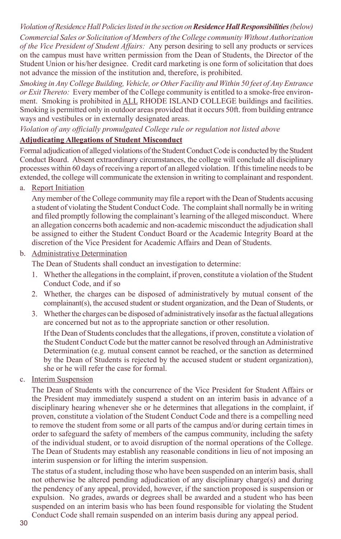#### *Violation of Residence Hall Policies listed in the section on Residence Hall Responsibilities (below)*

*Commercial Sales or Solicitation of Members of the College community Without Authorization of the Vice President of Student Affairs:* Any person desiring to sell any products or services on the campus must have written permission from the Dean of Students, the Director of the Student Union or his/her designee. Credit card marketing is one form of solicitation that does not advance the mission of the institution and, therefore, is prohibited.

*Smoking in Any College Building, Vehicle, or Other Facility and Within 50 feet of Any Entrance or Exit Thereto:* Every member of the College community is entitled to a smoke-free environment. Smoking is prohibited in ALL RHODE ISLAND COLLEGE buildings and facilities. Smoking is permitted only in outdoor areas provided that it occurs 50ft. from building entrance ways and vestibules or in externally designated areas.

#### *Violation of any officially promulgated College rule or regulation not listed above*

#### **Adjudicating Allegations of Student Misconduct**

Formal adjudication of alleged violations of the Student Conduct Code is conducted by the Student Conduct Board. Absent extraordinary circumstances, the college will conclude all disciplinary processes within 60 days of receiving a report of an alleged violation. If this timeline needs to be extended, the college will communicate the extension in writing to complainant and respondent.

a. Report Initiation

Any member of the College community may file a report with the Dean of Students accusing a student of violating the Student Conduct Code. The complaint shall normally be in writing and filed promptly following the complainant's learning of the alleged misconduct. Where an allegation concerns both academic and non-academic misconduct the adjudication shall be assigned to either the Student Conduct Board or the Academic Integrity Board at the discretion of the Vice President for Academic Affairs and Dean of Students.

b. Administrative Determination

The Dean of Students shall conduct an investigation to determine:

- 1. Whether the allegations in the complaint, if proven, constitute a violation of the Student Conduct Code, and if so
- 2. Whether, the charges can be disposed of administratively by mutual consent of the complainant(s), the accused student or student organization, and the Dean of Students, or
- 3. Whether the charges can be disposed of administratively insofar as the factual allegations are concerned but not as to the appropriate sanction or other resolution.

If the Dean of Students concludes that the allegations, if proven, constitute a violation of the Student Conduct Code but the matter cannot be resolved through an Administrative Determination (e.g. mutual consent cannot be reached, or the sanction as determined by the Dean of Students is rejected by the accused student or student organization), she or he will refer the case for formal.

c. Interim Suspension

The Dean of Students with the concurrence of the Vice President for Student Affairs or the President may immediately suspend a student on an interim basis in advance of a disciplinary hearing whenever she or he determines that allegations in the complaint, if proven, constitute a violation of the Student Conduct Code and there is a compelling need to remove the student from some or all parts of the campus and/or during certain times in order to safeguard the safety of members of the campus community, including the safety of the individual student, or to avoid disruption of the normal operations of the College. The Dean of Students may establish any reasonable conditions in lieu of not imposing an interim suspension or for lifting the interim suspension.

The status of a student, including those who have been suspended on an interim basis, shall not otherwise be altered pending adjudication of any disciplinary charge(s) and during the pendency of any appeal, provided, however, if the sanction proposed is suspension or expulsion. No grades, awards or degrees shall be awarded and a student who has been suspended on an interim basis who has been found responsible for violating the Student Conduct Code shall remain suspended on an interim basis during any appeal period.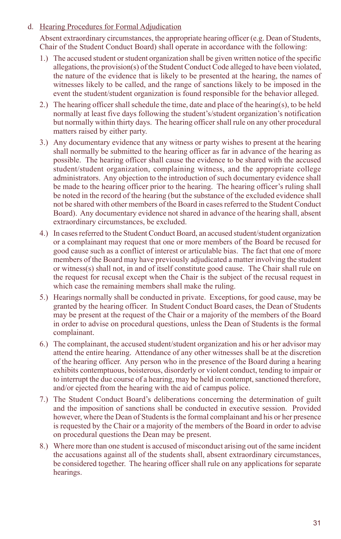#### d. Hearing Procedures for Formal Adjudication

Absent extraordinary circumstances, the appropriate hearing officer (e.g. Dean of Students, Chair of the Student Conduct Board) shall operate in accordance with the following:

- 1.) The accused student or student organization shall be given written notice of the specific allegations, the provision(s) of the Student Conduct Code alleged to have been violated, the nature of the evidence that is likely to be presented at the hearing, the names of witnesses likely to be called, and the range of sanctions likely to be imposed in the event the student/student organization is found responsible for the behavior alleged.
- 2.) The hearing officer shall schedule the time, date and place of the hearing(s), to be held normally at least five days following the student's/student organization's notification but normally within thirty days. The hearing officer shall rule on any other procedural matters raised by either party.
- 3.) Any documentary evidence that any witness or party wishes to present at the hearing shall normally be submitted to the hearing officer as far in advance of the hearing as possible. The hearing officer shall cause the evidence to be shared with the accused student/student organization, complaining witness, and the appropriate college administrators. Any objection to the introduction of such documentary evidence shall be made to the hearing officer prior to the hearing. The hearing officer's ruling shall be noted in the record of the hearing (but the substance of the excluded evidence shall not be shared with other members of the Board in cases referred to the Student Conduct Board). Any documentary evidence not shared in advance of the hearing shall, absent extraordinary circumstances, be excluded.
- 4.) In cases referred to the Student Conduct Board, an accused student/student organization or a complainant may request that one or more members of the Board be recused for good cause such as a conflict of interest or articulable bias. The fact that one of more members of the Board may have previously adjudicated a matter involving the student or witness(s) shall not, in and of itself constitute good cause. The Chair shall rule on the request for recusal except when the Chair is the subject of the recusal request in which case the remaining members shall make the ruling.
- 5.) Hearings normally shall be conducted in private. Exceptions, for good cause, may be granted by the hearing officer. In Student Conduct Board cases, the Dean of Students may be present at the request of the Chair or a majority of the members of the Board in order to advise on procedural questions, unless the Dean of Students is the formal complainant.
- 6.) The complainant, the accused student/student organization and his or her advisor may attend the entire hearing. Attendance of any other witnesses shall be at the discretion of the hearing officer. Any person who in the presence of the Board during a hearing exhibits contemptuous, boisterous, disorderly or violent conduct, tending to impair or to interrupt the due course of a hearing, may be held in contempt, sanctioned therefore, and/or ejected from the hearing with the aid of campus police.
- 7.) The Student Conduct Board's deliberations concerning the determination of guilt and the imposition of sanctions shall be conducted in executive session. Provided however, where the Dean of Students is the formal complainant and his or her presence is requested by the Chair or a majority of the members of the Board in order to advise on procedural questions the Dean may be present.
- 8.) Where more than one student is accused of misconduct arising out of the same incident the accusations against all of the students shall, absent extraordinary circumstances, be considered together. The hearing officer shall rule on any applications for separate hearings.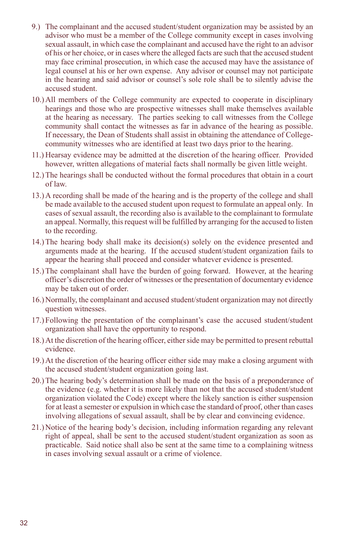- 9.) The complainant and the accused student/student organization may be assisted by an advisor who must be a member of the College community except in cases involving sexual assault, in which case the complainant and accused have the right to an advisor of his or her choice, or in cases where the alleged facts are such that the accused student may face criminal prosecution, in which case the accused may have the assistance of legal counsel at his or her own expense. Any advisor or counsel may not participate in the hearing and said advisor or counsel's sole role shall be to silently advise the accused student.
- 10.) All members of the College community are expected to cooperate in disciplinary hearings and those who are prospective witnesses shall make themselves available at the hearing as necessary. The parties seeking to call witnesses from the College community shall contact the witnesses as far in advance of the hearing as possible. If necessary, the Dean of Students shall assist in obtaining the attendance of Collegecommunity witnesses who are identified at least two days prior to the hearing.
- 11.) Hearsay evidence may be admitted at the discretion of the hearing officer. Provided however, written allegations of material facts shall normally be given little weight.
- 12.)The hearings shall be conducted without the formal procedures that obtain in a court of law.
- 13.) A recording shall be made of the hearing and is the property of the college and shall be made available to the accused student upon request to formulate an appeal only. In cases of sexual assault, the recording also is available to the complainant to formulate an appeal. Normally, this request will be fulfilled by arranging for the accused to listen to the recording.
- 14.)The hearing body shall make its decision(s) solely on the evidence presented and arguments made at the hearing. If the accused student/student organization fails to appear the hearing shall proceed and consider whatever evidence is presented.
- 15.)The complainant shall have the burden of going forward. However, at the hearing officer's discretion the order of witnesses or the presentation of documentary evidence may be taken out of order.
- 16.) Normally, the complainant and accused student/student organization may not directly question witnesses.
- 17.) Following the presentation of the complainant's case the accused student/student organization shall have the opportunity to respond.
- 18.) At the discretion of the hearing officer, either side may be permitted to present rebuttal evidence.
- 19.) At the discretion of the hearing officer either side may make a closing argument with the accused student/student organization going last.
- 20.)The hearing body's determination shall be made on the basis of a preponderance of the evidence (e.g. whether it is more likely than not that the accused student/student organization violated the Code) except where the likely sanction is either suspension for at least a semester or expulsion in which case the standard of proof, other than cases involving allegations of sexual assault, shall be by clear and convincing evidence.
- 21.) Notice of the hearing body's decision, including information regarding any relevant right of appeal, shall be sent to the accused student/student organization as soon as practicable. Said notice shall also be sent at the same time to a complaining witness in cases involving sexual assault or a crime of violence.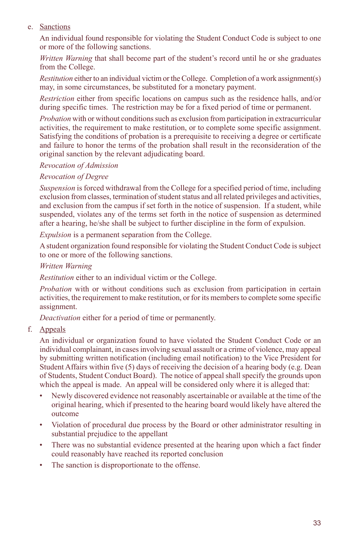#### e. Sanctions

An individual found responsible for violating the Student Conduct Code is subject to one or more of the following sanctions.

*Written Warning* that shall become part of the student's record until he or she graduates from the College.

*Restitution* either to an individual victim or the College. Completion of a work assignment(s) may, in some circumstances, be substituted for a monetary payment.

*Restriction* either from specific locations on campus such as the residence halls, and/or during specific times. The restriction may be for a fixed period of time or permanent.

*Probation* with or without conditions such as exclusion from participation in extracurricular activities, the requirement to make restitution, or to complete some specific assignment. Satisfying the conditions of probation is a prerequisite to receiving a degree or certificate and failure to honor the terms of the probation shall result in the reconsideration of the original sanction by the relevant adjudicating board.

#### *Revocation of Admission*

#### *Revocation of Degree*

*Suspension* is forced withdrawal from the College for a specified period of time, including exclusion from classes, termination of student status and all related privileges and activities, and exclusion from the campus if set forth in the notice of suspension. If a student, while suspended, violates any of the terms set forth in the notice of suspension as determined after a hearing, he/she shall be subject to further discipline in the form of expulsion.

*Expulsion* is a permanent separation from the College.

A student organization found responsible for violating the Student Conduct Code is subject to one or more of the following sanctions.

#### *Written Warning*

*Restitution* either to an individual victim or the College.

*Probation* with or without conditions such as exclusion from participation in certain activities, the requirement to make restitution, or for its members to complete some specific assignment.

*Deactivation* either for a period of time or permanently.

#### f. Appeals

An individual or organization found to have violated the Student Conduct Code or an individual complainant, in cases involving sexual assault or a crime of violence, may appeal by submitting written notification (including email notification) to the Vice President for Student Affairs within five (5) days of receiving the decision of a hearing body (e.g. Dean of Students, Student Conduct Board). The notice of appeal shall specify the grounds upon which the appeal is made. An appeal will be considered only where it is alleged that:

- Newly discovered evidence not reasonably ascertainable or available at the time of the original hearing, which if presented to the hearing board would likely have altered the outcome
- Violation of procedural due process by the Board or other administrator resulting in substantial prejudice to the appellant
- There was no substantial evidence presented at the hearing upon which a fact finder could reasonably have reached its reported conclusion
- The sanction is disproportionate to the offense.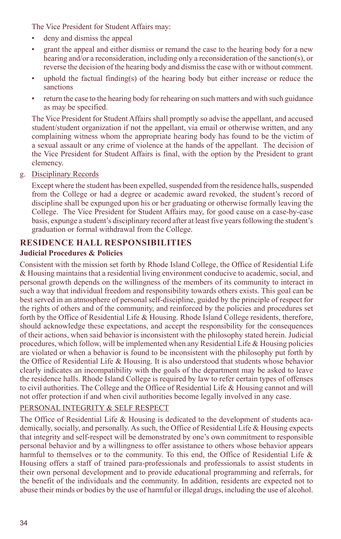The Vice President for Student Affairs may:

- deny and dismiss the appeal
- grant the appeal and either dismiss or remand the case to the hearing body for a new hearing and/or a reconsideration, including only a reconsideration of the sanction(s), or reverse the decision of the hearing body and dismiss the case with or without comment.
- uphold the factual finding(s) of the hearing body but either increase or reduce the sanctions
- return the case to the hearing body for rehearing on such matters and with such guidance as may be specified.

The Vice President for Student Affairs shall promptly so advise the appellant, and accused student/student organization if not the appellant, via email or otherwise written, and any complaining witness whom the appropriate hearing body has found to be the victim of a sexual assault or any crime of violence at the hands of the appellant. The decision of the Vice President for Student Affairs is final, with the option by the President to grant clemency.

g. Disciplinary Records

Except where the student has been expelled, suspended from the residence halls, suspended from the College or had a degree or academic award revoked, the student's record of discipline shall be expunged upon his or her graduating or otherwise formally leaving the College. The Vice President for Student Affairs may, for good cause on a case-by-case basis, expunge a student's disciplinary record after at least five years following the student's graduation or formal withdrawal from the College.

## **Residence Hall Responsibilities**

#### **Judicial Procedures & Policies**

Consistent with the mission set forth by Rhode Island College, the Office of Residential Life & Housing maintains that a residential living environment conducive to academic, social, and personal growth depends on the willingness of the members of its community to interact in such a way that individual freedom and responsibility towards others exists. This goal can be best served in an atmosphere of personal self-discipline, guided by the principle of respect for the rights of others and of the community, and reinforced by the policies and procedures set forth by the Office of Residential Life & Housing. Rhode Island College residents, therefore, should acknowledge these expectations, and accept the responsibility for the consequences of their actions, when said behavior is inconsistent with the philosophy stated herein. Judicial procedures, which follow, will be implemented when any Residential Life & Housing policies are violated or when a behavior is found to be inconsistent with the philosophy put forth by the Office of Residential Life & Housing. It is also understood that students whose behavior clearly indicates an incompatibility with the goals of the department may be asked to leave the residence halls. Rhode Island College is required by law to refer certain types of offenses to civil authorities. The College and the Office of Residential Life & Housing cannot and will not offer protection if and when civil authorities become legally involved in any case.

#### PERSONAL INTEGRITY & SELF RESPECT

The Office of Residential Life & Housing is dedicated to the development of students academically, socially, and personally. As such, the Office of Residential Life & Housing expects that integrity and self-respect will be demonstrated by one's own commitment to responsible personal behavior and by a willingness to offer assistance to others whose behavior appears harmful to themselves or to the community. To this end, the Office of Residential Life & Housing offers a staff of trained para-professionals and professionals to assist students in their own personal development and to provide educational programming and referrals, for the benefit of the individuals and the community. In addition, residents are expected not to abuse their minds or bodies by the use of harmful or illegal drugs, including the use of alcohol.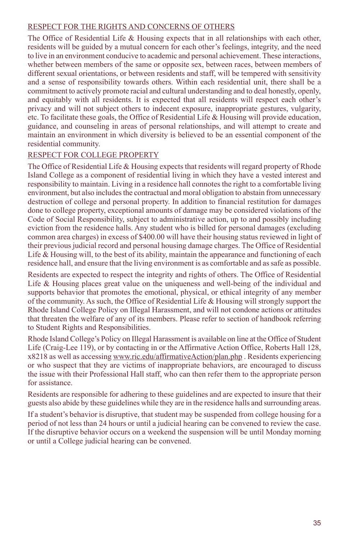#### RESPECT FOR THE RIGHTS AND CONCERNS OF OTHERS

The Office of Residential Life & Housing expects that in all relationships with each other, residents will be guided by a mutual concern for each other's feelings, integrity, and the need to live in an environment conducive to academic and personal achievement. These interactions, whether between members of the same or opposite sex, between races, between members of different sexual orientations, or between residents and staff, will be tempered with sensitivity and a sense of responsibility towards others. Within each residential unit, there shall be a commitment to actively promote racial and cultural understanding and to deal honestly, openly, and equitably with all residents. It is expected that all residents will respect each other's privacy and will not subject others to indecent exposure, inappropriate gestures, vulgarity, etc. To facilitate these goals, the Office of Residential Life & Housing will provide education, guidance, and counseling in areas of personal relationships, and will attempt to create and maintain an environment in which diversity is believed to be an essential component of the residential community.

#### RESPECT FOR COLLEGE PROPERTY

The Office of Residential Life & Housing expects that residents will regard property of Rhode Island College as a component of residential living in which they have a vested interest and responsibility to maintain. Living in a residence hall connotes the right to a comfortable living environment, but also includes the contractual and moral obligation to abstain from unnecessary destruction of college and personal property. In addition to financial restitution for damages done to college property, exceptional amounts of damage may be considered violations of the Code of Social Responsibility, subject to administrative action, up to and possibly including eviction from the residence halls. Any student who is billed for personal damages (excluding common area charges) in excess of \$400.00 will have their housing status reviewed in light of their previous judicial record and personal housing damage charges. The Office of Residential Life & Housing will, to the best of its ability, maintain the appearance and functioning of each residence hall, and ensure that the living environment is as comfortable and as safe as possible.

Residents are expected to respect the integrity and rights of others. The Office of Residential Life & Housing places great value on the uniqueness and well-being of the individual and supports behavior that promotes the emotional, physical, or ethical integrity of any member of the community. As such, the Office of Residential Life & Housing will strongly support the Rhode Island College Policy on Illegal Harassment, and will not condone actions or attitudes that threaten the welfare of any of its members. Please refer to section of handbook referring to Student Rights and Responsibilities.

Rhode Island College's Policy on Illegal Harassment is available on line at the Office of Student Life (Craig-Lee 119), or by contacting in or the Affirmative Action Office, Roberts Hall 128, x8218 as well as accessing www.ric.edu/affirmativeAction/plan.php . Residents experiencing or who suspect that they are victims of inappropriate behaviors, are encouraged to discuss the issue with their Professional Hall staff, who can then refer them to the appropriate person for assistance.

Residents are responsible for adhering to these guidelines and are expected to insure that their guests also abide by these guidelines while they are in the residence halls and surrounding areas.

If a student's behavior is disruptive, that student may be suspended from college housing for a period of not less than 24 hours or until a judicial hearing can be convened to review the case. If the disruptive behavior occurs on a weekend the suspension will be until Monday morning or until a College judicial hearing can be convened.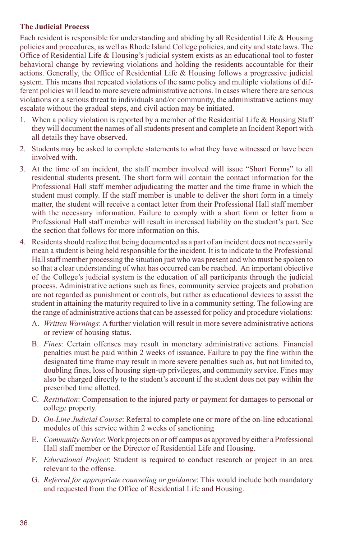#### **The Judicial Process**

Each resident is responsible for understanding and abiding by all Residential Life & Housing policies and procedures, as well as Rhode Island College policies, and city and state laws. The Office of Residential Life & Housing's judicial system exists as an educational tool to foster behavioral change by reviewing violations and holding the residents accountable for their actions. Generally, the Office of Residential Life & Housing follows a progressive judicial system. This means that repeated violations of the same policy and multiple violations of different policies will lead to more severe administrative actions. In cases where there are serious violations or a serious threat to individuals and/or community, the administrative actions may escalate without the gradual steps, and civil action may be initiated.

- 1. When a policy violation is reported by a member of the Residential Life & Housing Staff they will document the names of all students present and complete an Incident Report with all details they have observed.
- 2. Students may be asked to complete statements to what they have witnessed or have been involved with.
- 3. At the time of an incident, the staff member involved will issue "Short Forms" to all residential students present. The short form will contain the contact information for the Professional Hall staff member adjudicating the matter and the time frame in which the student must comply. If the staff member is unable to deliver the short form in a timely matter, the student will receive a contact letter from their Professional Hall staff member with the necessary information. Failure to comply with a short form or letter from a Professional Hall staff member will result in increased liability on the student's part. See the section that follows for more information on this.
- 4. Residents should realize that being documented as a part of an incident does not necessarily mean a student is being held responsible for the incident. It is to indicate to the Professional Hall staff member processing the situation just who was present and who must be spoken to so that a clear understanding of what has occurred can be reached. An important objective of the College's judicial system is the education of all participants through the judicial process. Administrative actions such as fines, community service projects and probation are not regarded as punishment or controls, but rather as educational devices to assist the student in attaining the maturity required to live in a community setting. The following are the range of administrative actions that can be assessed for policy and procedure violations:
	- A. *Written Warnings*: A further violation will result in more severe administrative actions or review of housing status.
	- B. *Fines*: Certain offenses may result in monetary administrative actions. Financial penalties must be paid within 2 weeks of issuance. Failure to pay the fine within the designated time frame may result in more severe penalties such as, but not limited to, doubling fines, loss of housing sign-up privileges, and community service. Fines may also be charged directly to the student's account if the student does not pay within the prescribed time allotted.
	- C. *Restitution*: Compensation to the injured party or payment for damages to personal or college property.
	- D. *On-Line Judicial Course*: Referral to complete one or more of the on-line educational modules of this service within 2 weeks of sanctioning
	- E. *Community Service*: Work projects on or off campus as approved by either a Professional Hall staff member or the Director of Residential Life and Housing.
	- F. *Educational Project*: Student is required to conduct research or project in an area relevant to the offense.
	- G. *Referral for appropriate counseling or guidance*: This would include both mandatory and requested from the Office of Residential Life and Housing.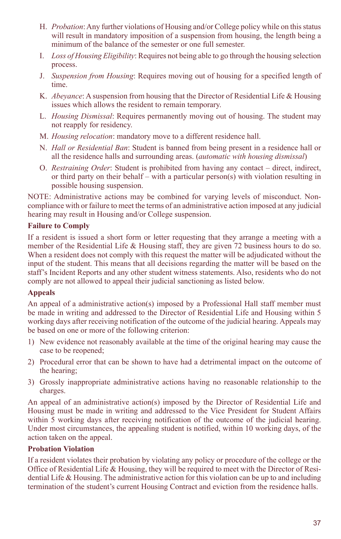- H. *Probation*: Any further violations of Housing and/or College policy while on this status will result in mandatory imposition of a suspension from housing, the length being a minimum of the balance of the semester or one full semester.
- I. *Loss of Housing Eligibility*: Requires not being able to go through the housing selection process.
- J. *Suspension from Housing*: Requires moving out of housing for a specified length of time.
- K. *Abeyance*: A suspension from housing that the Director of Residential Life & Housing issues which allows the resident to remain temporary.
- L. *Housing Dismissal*: Requires permanently moving out of housing. The student may not reapply for residency.
- M. *Housing relocation*: mandatory move to a different residence hall.
- N. *Hall or Residential Ban*: Student is banned from being present in a residence hall or all the residence halls and surrounding areas. (*automatic with housing dismissal*)
- O. *Restraining Order*: Student is prohibited from having any contact direct, indirect, or third party on their behalf – with a particular person(s) with violation resulting in possible housing suspension.

NOTE: Administrative actions may be combined for varying levels of misconduct. Noncompliance with or failure to meet the terms of an administrative action imposed at any judicial hearing may result in Housing and/or College suspension.

#### **Failure to Comply**

If a resident is issued a short form or letter requesting that they arrange a meeting with a member of the Residential Life & Housing staff, they are given 72 business hours to do so. When a resident does not comply with this request the matter will be adjudicated without the input of the student. This means that all decisions regarding the matter will be based on the staff's Incident Reports and any other student witness statements. Also, residents who do not comply are not allowed to appeal their judicial sanctioning as listed below.

#### **Appeals**

An appeal of a administrative action(s) imposed by a Professional Hall staff member must be made in writing and addressed to the Director of Residential Life and Housing within 5 working days after receiving notification of the outcome of the judicial hearing. Appeals may be based on one or more of the following criterion:

- 1) New evidence not reasonably available at the time of the original hearing may cause the case to be reopened;
- 2) Procedural error that can be shown to have had a detrimental impact on the outcome of the hearing;
- 3) Grossly inappropriate administrative actions having no reasonable relationship to the charges.

An appeal of an administrative action(s) imposed by the Director of Residential Life and Housing must be made in writing and addressed to the Vice President for Student Affairs within  $\bar{5}$  working days after receiving notification of the outcome of the judicial hearing. Under most circumstances, the appealing student is notified, within 10 working days, of the action taken on the appeal.

#### **Probation Violation**

If a resident violates their probation by violating any policy or procedure of the college or the Office of Residential Life & Housing, they will be required to meet with the Director of Residential Life & Housing. The administrative action for this violation can be up to and including termination of the student's current Housing Contract and eviction from the residence halls.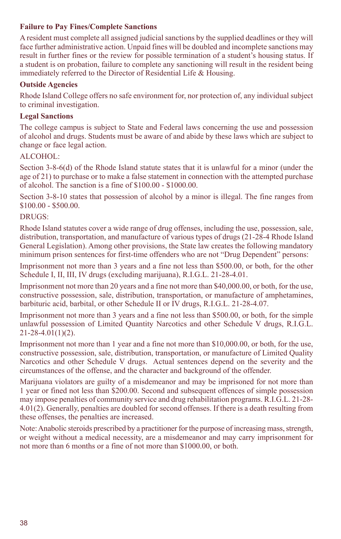#### **Failure to Pay Fines/Complete Sanctions**

A resident must complete all assigned judicial sanctions by the supplied deadlines or they will face further administrative action. Unpaid fines will be doubled and incomplete sanctions may result in further fines or the review for possible termination of a student's housing status. If a student is on probation, failure to complete any sanctioning will result in the resident being immediately referred to the Director of Residential Life & Housing.

#### **Outside Agencies**

Rhode Island College offers no safe environment for, nor protection of, any individual subject to criminal investigation.

#### **Legal Sanctions**

The college campus is subject to State and Federal laws concerning the use and possession of alcohol and drugs. Students must be aware of and abide by these laws which are subject to change or face legal action.

#### ALCOHOL:

Section 3-8-6(d) of the Rhode Island statute states that it is unlawful for a minor (under the age of 21) to purchase or to make a false statement in connection with the attempted purchase of alcohol. The sanction is a fine of \$100.00 - \$1000.00.

Section 3-8-10 states that possession of alcohol by a minor is illegal. The fine ranges from \$100.00 - \$500.00.

#### DRUGS:

Rhode Island statutes cover a wide range of drug offenses, including the use, possession, sale, distribution, transportation, and manufacture of various types of drugs (21-28-4 Rhode Island General Legislation). Among other provisions, the State law creates the following mandatory minimum prison sentences for first-time offenders who are not "Drug Dependent" persons:

Imprisonment not more than 3 years and a fine not less than \$500.00, or both, for the other Schedule I, II, III, IV drugs (excluding marijuana), R.I.G.L. 21-28-4.01.

Imprisonment not more than 20 years and a fine not more than \$40,000.00, or both, for the use, constructive possession, sale, distribution, transportation, or manufacture of amphetamines, barbituric acid, barbital, or other Schedule II or IV drugs, R.I.G.L. 21-28-4.07.

Imprisonment not more than 3 years and a fine not less than \$500.00, or both, for the simple unlawful possession of Limited Quantity Narcotics and other Schedule V drugs, R.I.G.L.  $21 - 28 - 4.01(1)(2)$ .

Imprisonment not more than 1 year and a fine not more than \$10,000.00, or both, for the use, constructive possession, sale, distribution, transportation, or manufacture of Limited Quality Narcotics and other Schedule V drugs. Actual sentences depend on the severity and the circumstances of the offense, and the character and background of the offender.

Marijuana violators are guilty of a misdemeanor and may be imprisoned for not more than 1 year or fined not less than \$200.00. Second and subsequent offences of simple possession may impose penalties of community service and drug rehabilitation programs. R.I.G.L. 21-28- 4.01(2). Generally, penalties are doubled for second offenses. If there is a death resulting from these offenses, the penalties are increased.

Note: Anabolic steroids prescribed by a practitioner for the purpose of increasing mass, strength, or weight without a medical necessity, are a misdemeanor and may carry imprisonment for not more than 6 months or a fine of not more than \$1000.00, or both.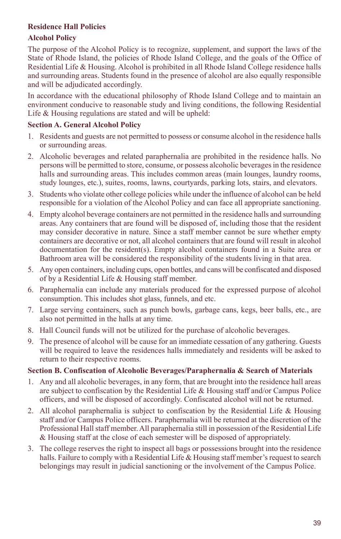#### **Residence Hall Policies**

#### **Alcohol Policy**

The purpose of the Alcohol Policy is to recognize, supplement, and support the laws of the State of Rhode Island, the policies of Rhode Island College, and the goals of the Office of Residential Life & Housing. Alcohol is prohibited in all Rhode Island College residence halls and surrounding areas. Students found in the presence of alcohol are also equally responsible and will be adjudicated accordingly.

In accordance with the educational philosophy of Rhode Island College and to maintain an environment conducive to reasonable study and living conditions, the following Residential Life & Housing regulations are stated and will be upheld:

#### **Section A. General Alcohol Policy**

- 1. Residents and guests are not permitted to possess or consume alcohol in the residence halls or surrounding areas.
- 2. Alcoholic beverages and related paraphernalia are prohibited in the residence halls. No persons will be permitted to store, consume, or possess alcoholic beverages in the residence halls and surrounding areas. This includes common areas (main lounges, laundry rooms, study lounges, etc.), suites, rooms, lawns, courtyards, parking lots, stairs, and elevators.
- 3. Students who violate other college policies while under the influence of alcohol can be held responsible for a violation of the Alcohol Policy and can face all appropriate sanctioning.
- 4. Empty alcohol beverage containers are not permitted in the residence halls and surrounding areas. Any containers that are found will be disposed of, including those that the resident may consider decorative in nature. Since a staff member cannot be sure whether empty containers are decorative or not, all alcohol containers that are found will result in alcohol documentation for the resident(s). Empty alcohol containers found in a Suite area or Bathroom area will be considered the responsibility of the students living in that area.
- 5. Any open containers, including cups, open bottles, and cans will be confiscated and disposed of by a Residential Life & Housing staff member.
- 6. Paraphernalia can include any materials produced for the expressed purpose of alcohol consumption. This includes shot glass, funnels, and etc.
- 7. Large serving containers, such as punch bowls, garbage cans, kegs, beer balls, etc., are also not permitted in the halls at any time.
- 8. Hall Council funds will not be utilized for the purchase of alcoholic beverages.
- 9. The presence of alcohol will be cause for an immediate cessation of any gathering. Guests will be required to leave the residences halls immediately and residents will be asked to return to their respective rooms.

#### **Section B. Confiscation of Alcoholic Beverages/Paraphernalia & Search of Materials**

- 1. Any and all alcoholic beverages, in any form, that are brought into the residence hall areas are subject to confiscation by the Residential Life & Housing staff and/or Campus Police officers, and will be disposed of accordingly. Confiscated alcohol will not be returned.
- 2. All alcohol paraphernalia is subject to confiscation by the Residential Life & Housing staff and/or Campus Police officers. Paraphernalia will be returned at the discretion of the Professional Hall staff member. All paraphernalia still in possession of the Residential Life & Housing staff at the close of each semester will be disposed of appropriately.
- 3. The college reserves the right to inspect all bags or possessions brought into the residence halls. Failure to comply with a Residential Life & Housing staff member's request to search belongings may result in judicial sanctioning or the involvement of the Campus Police.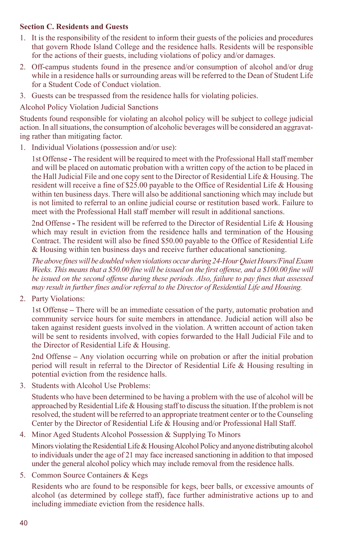#### **Section C. Residents and Guests**

- 1. It is the responsibility of the resident to inform their guests of the policies and procedures that govern Rhode Island College and the residence halls. Residents will be responsible for the actions of their guests, including violations of policy and/or damages.
- 2. Off-campus students found in the presence and/or consumption of alcohol and/or drug while in a residence halls or surrounding areas will be referred to the Dean of Student Life for a Student Code of Conduct violation.
- 3. Guests can be trespassed from the residence halls for violating policies.

Alcohol Policy Violation Judicial Sanctions

Students found responsible for violating an alcohol policy will be subject to college judicial action. In all situations, the consumption of alcoholic beverages will be considered an aggravating rather than mitigating factor.

1. Individual Violations (possession and/or use):

1st Offense **-** The resident will be required to meet with the Professional Hall staff member and will be placed on automatic probation with a written copy of the action to be placed in the Hall Judicial File and one copy sent to the Director of Residential Life & Housing. The resident will receive a fine of \$25.00 payable to the Office of Residential Life & Housing within ten business days. There will also be additional sanctioning which may include but is not limited to referral to an online judicial course or restitution based work. Failure to meet with the Professional Hall staff member will result in additional sanctions.

2nd Offense **-** The resident will be referred to the Director of Residential Life & Housing which may result in eviction from the residence halls and termination of the Housing Contract. The resident will also be fined \$50.00 payable to the Office of Residential Life & Housing within ten business days and receive further educational sanctioning.

*The above fines will be doubled when violations occur during 24-Hour Quiet Hours/Final Exam Weeks. This means that a \$50.00 fine will be issued on the first offense, and a \$100.00 fine will be issued on the second offense during these periods. Also, failure to pay fines that assessed may result in further fines and/or referral to the Director of Residential Life and Housing.* 

2. Party Violations:

1st Offense **–** There will be an immediate cessation of the party, automatic probation and community service hours for suite members in attendance. Judicial action will also be taken against resident guests involved in the violation. A written account of action taken will be sent to residents involved, with copies forwarded to the Hall Judicial File and to the Director of Residential Life & Housing.

2nd Offense **–** Any violation occurring while on probation or after the initial probation period will result in referral to the Director of Residential Life & Housing resulting in potential eviction from the residence halls.

3. Students with Alcohol Use Problems:

Students who have been determined to be having a problem with the use of alcohol will be approached by Residential Life & Housing staff to discuss the situation. If the problem is not resolved, the student will be referred to an appropriate treatment center or to the Counseling Center by the Director of Residential Life & Housing and/or Professional Hall Staff.

4. Minor Aged Students Alcohol Possession & Supplying To Minors

Minors violating the Residential Life & Housing Alcohol Policy and anyone distributing alcohol to individuals under the age of 21 may face increased sanctioning in addition to that imposed under the general alcohol policy which may include removal from the residence halls.

5. Common Source Containers & Kegs

Residents who are found to be responsible for kegs, beer balls, or excessive amounts of alcohol (as determined by college staff), face further administrative actions up to and including immediate eviction from the residence halls.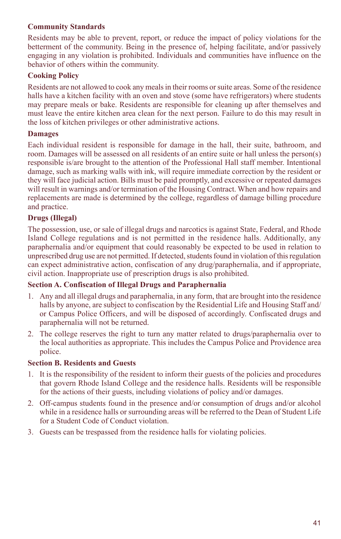#### **Community Standards**

Residents may be able to prevent, report, or reduce the impact of policy violations for the betterment of the community. Being in the presence of, helping facilitate, and/or passively engaging in any violation is prohibited. Individuals and communities have influence on the behavior of others within the community.

#### **Cooking Policy**

Residents are not allowed to cook any meals in their rooms or suite areas. Some of the residence halls have a kitchen facility with an oven and stove (some have refrigerators) where students may prepare meals or bake. Residents are responsible for cleaning up after themselves and must leave the entire kitchen area clean for the next person. Failure to do this may result in the loss of kitchen privileges or other administrative actions.

#### **Damages**

Each individual resident is responsible for damage in the hall, their suite, bathroom, and room. Damages will be assessed on all residents of an entire suite or hall unless the person(s) responsible is/are brought to the attention of the Professional Hall staff member. Intentional damage, such as marking walls with ink, will require immediate correction by the resident or they will face judicial action. Bills must be paid promptly, and excessive or repeated damages will result in warnings and/or termination of the Housing Contract. When and how repairs and replacements are made is determined by the college, regardless of damage billing procedure and practice.

#### **Drugs (Illegal)**

The possession, use, or sale of illegal drugs and narcotics is against State, Federal, and Rhode Island College regulations and is not permitted in the residence halls. Additionally, any paraphernalia and/or equipment that could reasonably be expected to be used in relation to unprescribed drug use are not permitted. If detected, students found in violation of this regulation can expect administrative action, confiscation of any drug/paraphernalia, and if appropriate, civil action. Inappropriate use of prescription drugs is also prohibited.

#### **Section A. Confiscation of Illegal Drugs and Paraphernalia**

- 1. Any and all illegal drugs and paraphernalia, in any form, that are brought into the residence halls by anyone, are subject to confiscation by the Residential Life and Housing Staff and/ or Campus Police Officers, and will be disposed of accordingly. Confiscated drugs and paraphernalia will not be returned.
- 2. The college reserves the right to turn any matter related to drugs/paraphernalia over to the local authorities as appropriate. This includes the Campus Police and Providence area police.

#### **Section B. Residents and Guests**

- 1. It is the responsibility of the resident to inform their guests of the policies and procedures that govern Rhode Island College and the residence halls. Residents will be responsible for the actions of their guests, including violations of policy and/or damages.
- 2. Off-campus students found in the presence and/or consumption of drugs and/or alcohol while in a residence halls or surrounding areas will be referred to the Dean of Student Life for a Student Code of Conduct violation.
- 3. Guests can be trespassed from the residence halls for violating policies.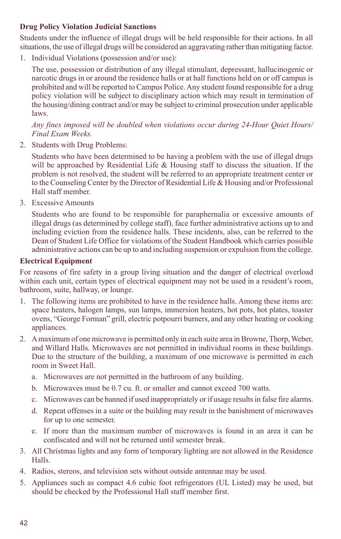#### **Drug Policy Violation Judicial Sanctions**

Students under the influence of illegal drugs will be held responsible for their actions. In all situations, the use of illegal drugs will be considered an aggravating rather than mitigating factor.

1. Individual Violations (possession and/or use):

The use, possession or distribution of any illegal stimulant, depressant, hallucinogenic or narcotic drugs in or around the residence halls or at hall functions held on or off campus is prohibited and will be reported to Campus Police. Any student found responsible for a drug policy violation will be subject to disciplinary action which may result in termination of the housing/dining contract and/or may be subject to criminal prosecution under applicable laws.

*Any fines imposed will be doubled when violations occur during 24-Hour Quiet Hours/ Final Exam Weeks.* 

2. Students with Drug Problems:

Students who have been determined to be having a problem with the use of illegal drugs will be approached by Residential Life & Housing staff to discuss the situation. If the problem is not resolved, the student will be referred to an appropriate treatment center or to the Counseling Center by the Director of Residential Life & Housing and/or Professional Hall staff member.

3. Excessive Amounts

Students who are found to be responsible for paraphernalia or excessive amounts of illegal drugs (as determined by college staff), face further administrative actions up to and including eviction from the residence halls. These incidents, also, can be referred to the Dean of Student Life Office for violations of the Student Handbook which carries possible administrative actions can be up to and including suspension or expulsion from the college.

#### **Electrical Equipment**

For reasons of fire safety in a group living situation and the danger of electrical overload within each unit, certain types of electrical equipment may not be used in a resident's room, bathroom, suite, hallway, or lounge.

- 1. The following items are prohibited to have in the residence halls. Among these items are: space heaters, halogen lamps, sun lamps, immersion heaters, hot pots, hot plates, toaster ovens, "George Forman" grill, electric potpourri burners, and any other heating or cooking appliances.
- 2. A maximum of one microwave is permitted only in each suite area in Browne, Thorp, Weber, and Willard Halls. Microwaves are not permitted in individual rooms in these buildings. Due to the structure of the building, a maximum of one microwave is permitted in each room in Sweet Hall.
	- a. Microwaves are not permitted in the bathroom of any building.
	- b. Microwaves must be 0.7 cu. ft. or smaller and cannot exceed 700 watts.
	- c. Microwaves can be banned if used inappropriately or if usage results in false fire alarms.
	- d. Repeat offenses in a suite or the building may result in the banishment of microwaves for up to one semester.
	- e. If more than the maximum number of microwaves is found in an area it can be confiscated and will not be returned until semester break.
- 3. All Christmas lights and any form of temporary lighting are not allowed in the Residence Halls.
- 4. Radios, stereos, and television sets without outside antennae may be used.
- 5. Appliances such as compact 4.6 cubic foot refrigerators (UL Listed) may be used, but should be checked by the Professional Hall staff member first.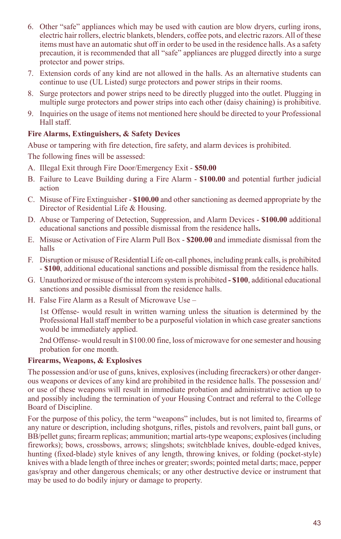- 6. Other "safe" appliances which may be used with caution are blow dryers, curling irons, electric hair rollers, electric blankets, blenders, coffee pots, and electric razors. All of these items must have an automatic shut off in order to be used in the residence halls. As a safety precaution, it is recommended that all "safe" appliances are plugged directly into a surge protector and power strips.
- 7. Extension cords of any kind are not allowed in the halls. As an alternative students can continue to use (UL Listed) surge protectors and power strips in their rooms.
- 8. Surge protectors and power strips need to be directly plugged into the outlet. Plugging in multiple surge protectors and power strips into each other (daisy chaining) is prohibitive.
- 9. Inquiries on the usage of items not mentioned here should be directed to your Professional Hall staff.

#### **Fire Alarms, Extinguishers, & Safety Devices**

Abuse or tampering with fire detection, fire safety, and alarm devices is prohibited.

The following fines will be assessed:

- A. Illegal Exit through Fire Door/Emergency Exit **\$50.00**
- B. Failure to Leave Building during a Fire Alarm **\$100.00** and potential further judicial action
- C. Misuse of Fire Extinguisher **\$100.00** and other sanctioning as deemed appropriate by the Director of Residential Life & Housing.
- D. Abuse or Tampering of Detection, Suppression, and Alarm Devices **\$100.00** additional educational sanctions and possible dismissal from the residence halls**.**
- E. Misuse or Activation of Fire Alarm Pull Box **\$200.00** and immediate dismissal from the halls
- F. Disruption or misuse of Residential Life on-call phones, including prank calls, is prohibited - **\$100**, additional educational sanctions and possible dismissal from the residence halls.
- G. Unauthorized or misuse of the intercom system is prohibited  **\$100**, additional educational sanctions and possible dismissal from the residence halls.
- H. False Fire Alarm as a Result of Microwave Use –

1st Offense- would result in written warning unless the situation is determined by the Professional Hall staff member to be a purposeful violation in which case greater sanctions would be immediately applied.

2nd Offense- would result in \$100.00 fine, loss of microwave for one semester and housing probation for one month.

#### **Firearms, Weapons, & Explosives**

The possession and/or use of guns, knives, explosives (including firecrackers) or other dangerous weapons or devices of any kind are prohibited in the residence halls. The possession and/ or use of these weapons will result in immediate probation and administrative action up to and possibly including the termination of your Housing Contract and referral to the College Board of Discipline.

For the purpose of this policy, the term "weapons" includes, but is not limited to, firearms of any nature or description, including shotguns, rifles, pistols and revolvers, paint ball guns, or BB/pellet guns; firearm replicas; ammunition; martial arts-type weapons; explosives (including fireworks); bows, crossbows, arrows; slingshots; switchblade knives, double-edged knives, hunting (fixed-blade) style knives of any length, throwing knives, or folding (pocket-style) knives with a blade length of three inches or greater; swords; pointed metal darts; mace, pepper gas/spray and other dangerous chemicals; or any other destructive device or instrument that may be used to do bodily injury or damage to property.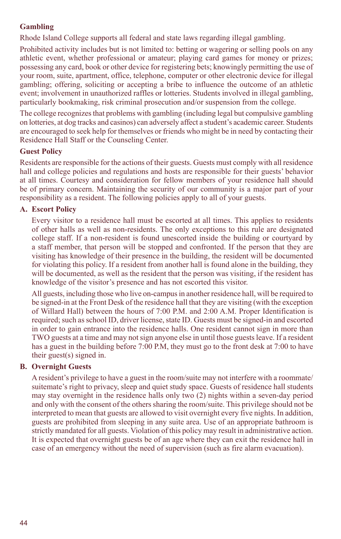#### **Gambling**

Rhode Island College supports all federal and state laws regarding illegal gambling.

Prohibited activity includes but is not limited to: betting or wagering or selling pools on any athletic event, whether professional or amateur; playing card games for money or prizes; possessing any card, book or other device for registering bets; knowingly permitting the use of your room, suite, apartment, office, telephone, computer or other electronic device for illegal gambling; offering, soliciting or accepting a bribe to influence the outcome of an athletic event; involvement in unauthorized raffles or lotteries. Students involved in illegal gambling, particularly bookmaking, risk criminal prosecution and/or suspension from the college.

The college recognizes that problems with gambling (including legal but compulsive gambling on lotteries, at dog tracks and casinos) can adversely affect a student's academic career. Students are encouraged to seek help for themselves or friends who might be in need by contacting their Residence Hall Staff or the Counseling Center.

#### **Guest Policy**

Residents are responsible for the actions of their guests. Guests must comply with all residence hall and college policies and regulations and hosts are responsible for their guests' behavior at all times. Courtesy and consideration for fellow members of your residence hall should be of primary concern. Maintaining the security of our community is a major part of your responsibility as a resident. The following policies apply to all of your guests.

#### **A. Escort Policy**

Every visitor to a residence hall must be escorted at all times. This applies to residents of other halls as well as non-residents. The only exceptions to this rule are designated college staff. If a non-resident is found unescorted inside the building or courtyard by a staff member, that person will be stopped and confronted. If the person that they are visiting has knowledge of their presence in the building, the resident will be documented for violating this policy. If a resident from another hall is found alone in the building, they will be documented, as well as the resident that the person was visiting, if the resident has knowledge of the visitor's presence and has not escorted this visitor.

All guests, including those who live on-campus in another residence hall, will be required to be signed-in at the Front Desk of the residence hall that they are visiting (with the exception of Willard Hall) between the hours of 7:00 P.M. and 2:00 A.M. Proper Identification is required; such as school ID, driver license, state ID. Guests must be signed-in and escorted in order to gain entrance into the residence halls. One resident cannot sign in more than TWO guests at a time and may not sign anyone else in until those guests leave. If a resident has a guest in the building before 7:00 P.M, they must go to the front desk at 7:00 to have their guest(s) signed in.

#### **B. Overnight Guests**

A resident's privilege to have a guest in the room/suite may not interfere with a roommate/ suitemate's right to privacy, sleep and quiet study space. Guests of residence hall students may stay overnight in the residence halls only two (2) nights within a seven-day period and only with the consent of the others sharing the room/suite. This privilege should not be interpreted to mean that guests are allowed to visit overnight every five nights. In addition, guests are prohibited from sleeping in any suite area. Use of an appropriate bathroom is strictly mandated for all guests. Violation of this policy may result in administrative action. It is expected that overnight guests be of an age where they can exit the residence hall in case of an emergency without the need of supervision (such as fire alarm evacuation).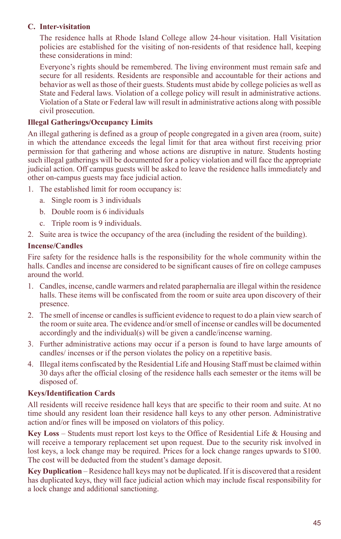#### **C. Inter-visitation**

The residence halls at Rhode Island College allow 24-hour visitation. Hall Visitation policies are established for the visiting of non-residents of that residence hall, keeping these considerations in mind:

Everyone's rights should be remembered. The living environment must remain safe and secure for all residents. Residents are responsible and accountable for their actions and behavior as well as those of their guests. Students must abide by college policies as well as State and Federal laws. Violation of a college policy will result in administrative actions. Violation of a State or Federal law will result in administrative actions along with possible civil prosecution.

#### **Illegal Gatherings/Occupancy Limits**

An illegal gathering is defined as a group of people congregated in a given area (room, suite) in which the attendance exceeds the legal limit for that area without first receiving prior permission for that gathering and whose actions are disruptive in nature. Students hosting such illegal gatherings will be documented for a policy violation and will face the appropriate judicial action. Off campus guests will be asked to leave the residence halls immediately and other on-campus guests may face judicial action.

- 1. The established limit for room occupancy is:
	- a. Single room is 3 individuals
	- b. Double room is 6 individuals
	- c. Triple room is 9 individuals.
- 2. Suite area is twice the occupancy of the area (including the resident of the building).

#### **Incense/Candles**

Fire safety for the residence halls is the responsibility for the whole community within the halls. Candles and incense are considered to be significant causes of fire on college campuses around the world.

- 1. Candles, incense, candle warmers and related paraphernalia are illegal within the residence halls. These items will be confiscated from the room or suite area upon discovery of their presence.
- 2. The smell of incense or candles is sufficient evidence to request to do a plain view search of the room or suite area. The evidence and/or smell of incense or candles will be documented accordingly and the individual(s) will be given a candle/incense warning.
- 3. Further administrative actions may occur if a person is found to have large amounts of candles/ incenses or if the person violates the policy on a repetitive basis.
- 4. Illegal items confiscated by the Residential Life and Housing Staff must be claimed within 30 days after the official closing of the residence halls each semester or the items will be disposed of.

#### **Keys/Identification Cards**

All residents will receive residence hall keys that are specific to their room and suite. At no time should any resident loan their residence hall keys to any other person. Administrative action and/or fines will be imposed on violators of this policy.

**Key Loss** – Students must report lost keys to the Office of Residential Life & Housing and will receive a temporary replacement set upon request. Due to the security risk involved in lost keys, a lock change may be required. Prices for a lock change ranges upwards to \$100. The cost will be deducted from the student's damage deposit.

**Key Duplication** – Residence hall keys may not be duplicated. If it is discovered that a resident has duplicated keys, they will face judicial action which may include fiscal responsibility for a lock change and additional sanctioning.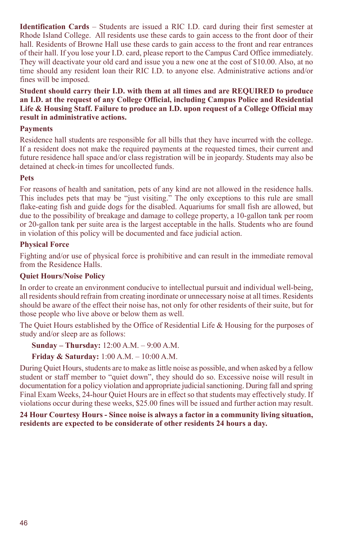**Identification Cards** – Students are issued a RIC I.D. card during their first semester at Rhode Island College. All residents use these cards to gain access to the front door of their hall. Residents of Browne Hall use these cards to gain access to the front and rear entrances of their hall. If you lose your I.D. card, please report to the Campus Card Office immediately. They will deactivate your old card and issue you a new one at the cost of \$10.00. Also, at no time should any resident loan their RIC I.D. to anyone else. Administrative actions and/or fines will be imposed.

**Student should carry their I.D. with them at all times and are REQUIRED to produce an I.D. at the request of any College Official, including Campus Police and Residential Life & Housing Staff. Failure to produce an I.D. upon request of a College Official may result in administrative actions.** 

#### **Payments**

Residence hall students are responsible for all bills that they have incurred with the college. If a resident does not make the required payments at the requested times, their current and future residence hall space and/or class registration will be in jeopardy. Students may also be detained at check-in times for uncollected funds.

#### **Pets**

For reasons of health and sanitation, pets of any kind are not allowed in the residence halls. This includes pets that may be "just visiting." The only exceptions to this rule are small flake-eating fish and guide dogs for the disabled. Aquariums for small fish are allowed, but due to the possibility of breakage and damage to college property, a 10-gallon tank per room or 20-gallon tank per suite area is the largest acceptable in the halls. Students who are found in violation of this policy will be documented and face judicial action.

#### **Physical Force**

Fighting and/or use of physical force is prohibitive and can result in the immediate removal from the Residence Halls.

#### **Quiet Hours/Noise Policy**

In order to create an environment conducive to intellectual pursuit and individual well-being, all residents should refrain from creating inordinate or unnecessary noise at all times. Residents should be aware of the effect their noise has, not only for other residents of their suite, but for those people who live above or below them as well.

The Quiet Hours established by the Office of Residential Life & Housing for the purposes of study and/or sleep are as follows:

**Sunday – Thursday:** 12:00 A.M. – 9:00 A.M.

 **Friday & Saturday:** 1:00 A.M. – 10:00 A.M.

During Quiet Hours, students are to make as little noise as possible, and when asked by a fellow student or staff member to "quiet down", they should do so. Excessive noise will result in documentation for a policy violation and appropriate judicial sanctioning. During fall and spring Final Exam Weeks, 24-hour Quiet Hours are in effect so that students may effectively study. If violations occur during these weeks, \$25.00 fines will be issued and further action may result.

**24 Hour Courtesy Hours - Since noise is always a factor in a community living situation, residents are expected to be considerate of other residents 24 hours a day.**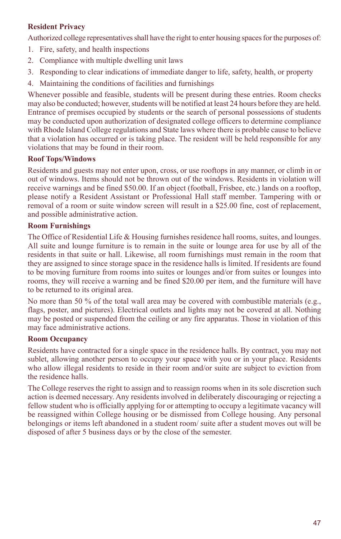#### **Resident Privacy**

Authorized college representatives shall have the right to enter housing spaces for the purposes of:

- 1. Fire, safety, and health inspections
- 2. Compliance with multiple dwelling unit laws
- 3. Responding to clear indications of immediate danger to life, safety, health, or property
- 4. Maintaining the conditions of facilities and furnishings

Whenever possible and feasible, students will be present during these entries. Room checks may also be conducted; however, students will be notified at least 24 hours before they are held. Entrance of premises occupied by students or the search of personal possessions of students may be conducted upon authorization of designated college officers to determine compliance with Rhode Island College regulations and State laws where there is probable cause to believe that a violation has occurred or is taking place. The resident will be held responsible for any violations that may be found in their room.

#### **Roof Tops/Windows**

Residents and guests may not enter upon, cross, or use rooftops in any manner, or climb in or out of windows. Items should not be thrown out of the windows. Residents in violation will receive warnings and be fined \$50.00. If an object (football, Frisbee, etc.) lands on a rooftop, please notify a Resident Assistant or Professional Hall staff member. Tampering with or removal of a room or suite window screen will result in a \$25.00 fine, cost of replacement, and possible administrative action.

#### **Room Furnishings**

The Office of Residential Life & Housing furnishes residence hall rooms, suites, and lounges. All suite and lounge furniture is to remain in the suite or lounge area for use by all of the residents in that suite or hall. Likewise, all room furnishings must remain in the room that they are assigned to since storage space in the residence halls is limited. If residents are found to be moving furniture from rooms into suites or lounges and/or from suites or lounges into rooms, they will receive a warning and be fined \$20.00 per item, and the furniture will have to be returned to its original area.

No more than 50 % of the total wall area may be covered with combustible materials (e.g., flags, poster, and pictures). Electrical outlets and lights may not be covered at all. Nothing may be posted or suspended from the ceiling or any fire apparatus. Those in violation of this may face administrative actions.

#### **Room Occupancy**

Residents have contracted for a single space in the residence halls. By contract, you may not sublet, allowing another person to occupy your space with you or in your place. Residents who allow illegal residents to reside in their room and/or suite are subject to eviction from the residence halls.

The College reserves the right to assign and to reassign rooms when in its sole discretion such action is deemed necessary. Any residents involved in deliberately discouraging or rejecting a fellow student who is officially applying for or attempting to occupy a legitimate vacancy will be reassigned within College housing or be dismissed from College housing. Any personal belongings or items left abandoned in a student room/ suite after a student moves out will be disposed of after 5 business days or by the close of the semester.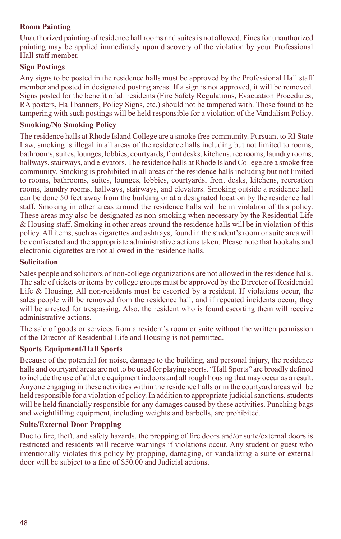#### **Room Painting**

Unauthorized painting of residence hall rooms and suites is not allowed. Fines for unauthorized painting may be applied immediately upon discovery of the violation by your Professional Hall staff member.

#### **Sign Postings**

Any signs to be posted in the residence halls must be approved by the Professional Hall staff member and posted in designated posting areas. If a sign is not approved, it will be removed. Signs posted for the benefit of all residents (Fire Safety Regulations, Evacuation Procedures, RA posters, Hall banners, Policy Signs, etc.) should not be tampered with. Those found to be tampering with such postings will be held responsible for a violation of the Vandalism Policy.

#### **Smoking/No Smoking Policy**

The residence halls at Rhode Island College are a smoke free community. Pursuant to RI State Law, smoking is illegal in all areas of the residence halls including but not limited to rooms, bathrooms, suites, lounges, lobbies, courtyards, front desks, kitchens, rec rooms, laundry rooms, hallways, stairways, and elevators. The residence halls at Rhode Island College are a smoke free community. Smoking is prohibited in all areas of the residence halls including but not limited to rooms, bathrooms, suites, lounges, lobbies, courtyards, front desks, kitchens, recreation rooms, laundry rooms, hallways, stairways, and elevators. Smoking outside a residence hall can be done 50 feet away from the building or at a designated location by the residence hall staff. Smoking in other areas around the residence halls will be in violation of this policy. These areas may also be designated as non-smoking when necessary by the Residential Life & Housing staff. Smoking in other areas around the residence halls will be in violation of this policy. All items, such as cigarettes and ashtrays, found in the student's room or suite area will be confiscated and the appropriate administrative actions taken. Please note that hookahs and electronic cigarettes are not allowed in the residence halls.

#### **Solicitation**

Sales people and solicitors of non-college organizations are not allowed in the residence halls. The sale of tickets or items by college groups must be approved by the Director of Residential Life & Housing. All non-residents must be escorted by a resident. If violations occur, the sales people will be removed from the residence hall, and if repeated incidents occur, they will be arrested for trespassing. Also, the resident who is found escorting them will receive administrative actions.

The sale of goods or services from a resident's room or suite without the written permission of the Director of Residential Life and Housing is not permitted.

#### **Sports Equipment/Hall Sports**

Because of the potential for noise, damage to the building, and personal injury, the residence halls and courtyard areas are not to be used for playing sports. "Hall Sports" are broadly defined to include the use of athletic equipment indoors and all rough housing that may occur as a result. Anyone engaging in these activities within the residence halls or in the courtyard areas will be held responsible for a violation of policy. In addition to appropriate judicial sanctions, students will be held financially responsible for any damages caused by these activities. Punching bags and weightlifting equipment, including weights and barbells, are prohibited.

#### **Suite/External Door Propping**

Due to fire, theft, and safety hazards, the propping of fire doors and/or suite/external doors is restricted and residents will receive warnings if violations occur. Any student or guest who intentionally violates this policy by propping, damaging, or vandalizing a suite or external door will be subject to a fine of \$50.00 and Judicial actions.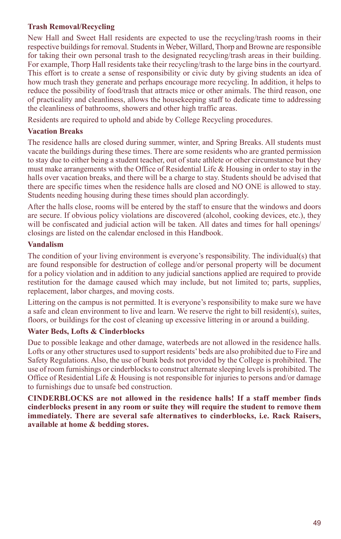#### **Trash Removal/Recycling**

New Hall and Sweet Hall residents are expected to use the recycling/trash rooms in their respective buildings for removal. Students in Weber, Willard, Thorp and Browne are responsible for taking their own personal trash to the designated recycling/trash areas in their building. For example, Thorp Hall residents take their recycling/trash to the large bins in the courtyard. This effort is to create a sense of responsibility or civic duty by giving students an idea of how much trash they generate and perhaps encourage more recycling. In addition, it helps to reduce the possibility of food/trash that attracts mice or other animals. The third reason, one of practicality and cleanliness, allows the housekeeping staff to dedicate time to addressing the cleanliness of bathrooms, showers and other high traffic areas.

Residents are required to uphold and abide by College Recycling procedures.

#### **Vacation Breaks**

The residence halls are closed during summer, winter, and Spring Breaks. All students must vacate the buildings during these times. There are some residents who are granted permission to stay due to either being a student teacher, out of state athlete or other circumstance but they must make arrangements with the Office of Residential Life & Housing in order to stay in the halls over vacation breaks, and there will be a charge to stay. Students should be advised that there are specific times when the residence halls are closed and NO ONE is allowed to stay. Students needing housing during these times should plan accordingly.

After the halls close, rooms will be entered by the staff to ensure that the windows and doors are secure. If obvious policy violations are discovered (alcohol, cooking devices, etc.), they will be confiscated and judicial action will be taken. All dates and times for hall openings/ closings are listed on the calendar enclosed in this Handbook.

#### **Vandalism**

The condition of your living environment is everyone's responsibility. The individual(s) that are found responsible for destruction of college and/or personal property will be document for a policy violation and in addition to any judicial sanctions applied are required to provide restitution for the damage caused which may include, but not limited to; parts, supplies, replacement, labor charges, and moving costs.

Littering on the campus is not permitted. It is everyone's responsibility to make sure we have a safe and clean environment to live and learn. We reserve the right to bill resident(s), suites, floors, or buildings for the cost of cleaning up excessive littering in or around a building.

#### **Water Beds, Lofts & Cinderblocks**

Due to possible leakage and other damage, waterbeds are not allowed in the residence halls. Lofts or any other structures used to support residents' beds are also prohibited due to Fire and Safety Regulations. Also, the use of bunk beds not provided by the College is prohibited. The use of room furnishings or cinderblocks to construct alternate sleeping levels is prohibited. The Office of Residential Life & Housing is not responsible for injuries to persons and/or damage to furnishings due to unsafe bed construction.

**CINDERBLOCKS are not allowed in the residence halls! If a staff member finds cinderblocks present in any room or suite they will require the student to remove them immediately. There are several safe alternatives to cinderblocks, i.e. Rack Raisers, available at home & bedding stores.**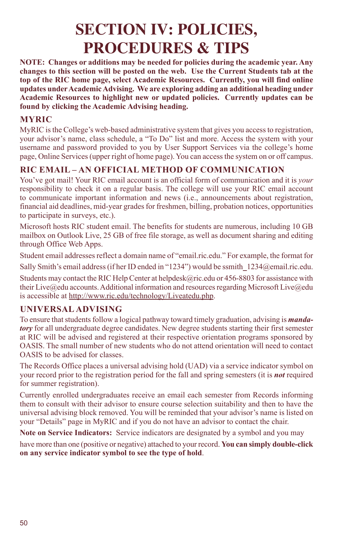## **SECTION IV: POLICIES, PROCEDURES & TIPS**

**NOTE: Changes or additions may be needed for policies during the academic year. Any changes to this section will be posted on the web. Use the Current Students tab at the top of the RIC home page, select Academic Resources. Currently, you will find online updates under Academic Advising. We are exploring adding an additional heading under Academic Resources to highlight new or updated policies. Currently updates can be found by clicking the Academic Advising heading.**

#### **MyRIC**

MyRIC is the College's web-based administrative system that gives you access to registration, your advisor's name, class schedule, a "To Do" list and more. Access the system with your username and password provided to you by User Support Services via the college's home page, Online Services (upper right of home page). You can access the system on or off campus.

### **RIC EMAIL – AN OFFICIAL METHOD OF COMMUNICATION**

You've got mail! Your RIC email account is an official form of communication and it is *your* responsibility to check it on a regular basis. The college will use your RIC email account to communicate important information and news (i.e., announcements about registration, financial aid deadlines, mid-year grades for freshmen, billing, probation notices, opportunities to participate in surveys, etc.).

Microsoft hosts RIC student email. The benefits for students are numerous, including 10 GB mailbox on Outlook Live, 25 GB of free file storage, as well as document sharing and editing through Office Web Apps.

Student email addresses reflect a domain name of "email.ric.edu." For example, the format for

Sally Smith's email address (if her ID ended in "1234") would be ssmith  $1234@c$ email.ric.edu.

Students may contact the RIC Help Center at helpdesk@ric.edu or 456-8803 for assistance with their Live@edu accounts. Additional information and resources regarding Microsoft Live@edu is accessible at http://www.ric.edu/technology/Liveatedu.php.

#### **UNIVERSAL ADVISING**

To ensure that students follow a logical pathway toward timely graduation, advising is *mandatory* for all undergraduate degree candidates. New degree students starting their first semester at RIC will be advised and registered at their respective orientation programs sponsored by OASIS. The small number of new students who do not attend orientation will need to contact OASIS to be advised for classes.

The Records Office places a universal advising hold (UAD) via a service indicator symbol on your record prior to the registration period for the fall and spring semesters (it is *not* required for summer registration).

Currently enrolled undergraduates receive an email each semester from Records informing them to consult with their advisor to ensure course selection suitability and then to have the universal advising block removed. You will be reminded that your advisor's name is listed on your "Details" page in MyRIC and if you do not have an advisor to contact the chair.

**Note on Service Indicators:** Service indicators are designated by a symbol and you may

have more than one (positive or negative) attached to your record. **You can simply double-click on any service indicator symbol to see the type of hold**.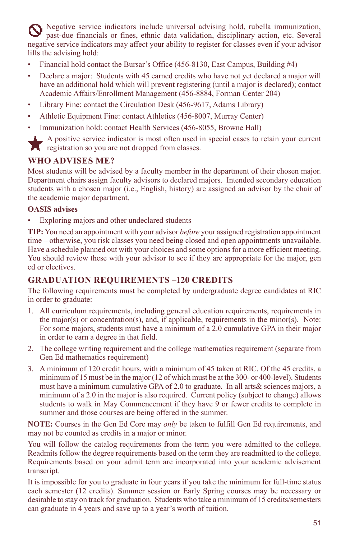Negative service indicators include universal advising hold, rubella immunization. past-due financials or fines, ethnic data validation, disciplinary action, etc. Several negative service indicators may affect your ability to register for classes even if your advisor lifts the advising hold:

- Financial hold contact the Bursar's Office (456-8130, East Campus, Building #4)
- • Declare a major: Students with 45 earned credits who have not yet declared a major will have an additional hold which will prevent registering (until a major is declared); contact Academic Affairs/Enrollment Management (456-8884, Forman Center 204)
- Library Fine: contact the Circulation Desk (456-9617, Adams Library)
- Athletic Equipment Fine: contact Athletics (456-8007, Murray Center)
- Immunization hold: contact Health Services (456-8055, Browne Hall)



 $\Box$  A positive service indicator is most often used in special cases to retain your current **registration so you are not dropped from classes.** 

#### **WHO ADVISES ME?**

Most students will be advised by a faculty member in the department of their chosen major. Department chairs assign faculty advisors to declared majors. Intended secondary education students with a chosen major (i.e., English, history) are assigned an advisor by the chair of the academic major department.

#### **OASIS advises**

Exploring majors and other undeclared students

**TIP:** You need an appointment with your advisor *before* your assigned registration appointment time – otherwise, you risk classes you need being closed and open appointments unavailable. Have a schedule planned out with your choices and some options for a more efficient meeting. You should review these with your advisor to see if they are appropriate for the major, gen ed or electives.

#### **GRADUATION REQUIREMENTS –120 CREDITS**

The following requirements must be completed by undergraduate degree candidates at RIC in order to graduate:

- 1. All curriculum requirements, including general education requirements, requirements in the major(s) or concentration(s), and, if applicable, requirements in the minor(s). Note: For some majors, students must have a minimum of a 2.0 cumulative GPA in their major in order to earn a degree in that field.
- 2. The college writing requirement and the college mathematics requirement (separate from Gen Ed mathematics requirement)
- 3. A minimum of 120 credit hours, with a minimum of 45 taken at RIC. Of the 45 credits, a minimum of 15 must be in the major (12 of which must be at the 300- or 400-level). Students must have a minimum cumulative GPA of 2.0 to graduate. In all arts& sciences majors, a minimum of a 2.0 in the major is also required. Current policy (subject to change) allows students to walk in May Commencement if they have 9 or fewer credits to complete in summer and those courses are being offered in the summer.

**NOTE:** Courses in the Gen Ed Core may *only* be taken to fulfill Gen Ed requirements, and may not be counted as credits in a major or minor.

You will follow the catalog requirements from the term you were admitted to the college. Readmits follow the degree requirements based on the term they are readmitted to the college. Requirements based on your admit term are incorporated into your academic advisement transcript.

It is impossible for you to graduate in four years if you take the minimum for full-time status each semester (12 credits). Summer session or Early Spring courses may be necessary or desirable to stay on track for graduation. Students who take a minimum of 15 credits/semesters can graduate in 4 years and save up to a year's worth of tuition.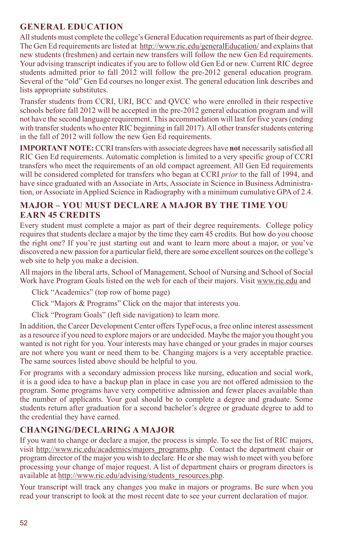#### **GENERAL EDUCATION**

All students must complete the college's General Education requirements as part of their degree. The Gen Ed requirements are listed at http://www.ric.edu/generalEducation/ and explains that new students (freshmen) and certain new transfers will follow the new Gen Ed requirements. Your advising transcript indicates if you are to follow old Gen Ed or new. Current RIC degree students admitted prior to fall 2012 will follow the pre-2012 general education program. Several of the "old" Gen Ed courses no longer exist. The general education link describes and lists appropriate substitutes.

Transfer students from CCRI, URI, BCC and QVCC who were enrolled in their respective schools before fall 2012 will be accepted in the pre-2012 general education program and will not have the second language requirement. This accommodation will last for five years (ending with transfer students who enter RIC beginning in fall 2017). All other transfer students entering in the fall of 2012 will follow the new Gen Ed requirements.

**IMPORTANT NOTE:** CCRI transfers with associate degrees have **not** necessarily satisfied all RIC Gen Ed requirements. Automatic completion is limited to a very specific group of CCRI transfers who meet the requirements of an old compact agreement. All Gen Ed requirements will be considered completed for transfers who began at CCRI *prior* to the fall of 1994, and have since graduated with an Associate in Arts, Associate in Science in Business Administration, or Associate in Applied Science in Radiography with a minimum cumulative GPA of 2.4.

#### **MAJOR – YOU MUST DECLARE A MAJOR BY THE TIME YOU EARN 45 CREDITS**

Every student must complete a major as part of their degree requirements. College policy requires that students declare a major by the time they earn 45 credits. But how do you choose the right one? If you're just starting out and want to learn more about a major, or you've discovered a new passion for a particular field, there are some excellent sources on the college's web site to help you make a decision.

All majors in the liberal arts, School of Management, School of Nursing and School of Social Work have Program Goals listed on the web for each of their majors. Visit www.ric.edu and

- Click "Academics" (top row of home page)
- Click "Majors & Programs" Click on the major that interests you.
- Click "Program Goals" (left side navigation) to learn more.

In addition, the Career Development Center offers TypeFocus, a free online interest assessment as a resource if you need to explore majors or are undecided. Maybe the major you thought you wanted is not right for you. Your interests may have changed or your grades in major courses are not where you want or need them to be. Changing majors is a very acceptable practice. The same sources listed above should be helpful to you.

For programs with a secondary admission process like nursing, education and social work, it is a good idea to have a backup plan in place in case you are not offered admission to the program. Some programs have very competitive admission and fewer places available than the number of applicants. Your goal should be to complete a degree and graduate. Some students return after graduation for a second bachelor's degree or graduate degree to add to the credential they have earned.

#### **CHANGING/DECLARING A MAJOR**

If you want to change or declare a major, the process is simple. To see the list of RIC majors, visit http://www.ric.edu/academics/majors\_programs.php. Contact the department chair or program director of the major you wish to declare. He or she may wish to meet with you before processing your change of major request. A list of department chairs or program directors is available at http://www.ric.edu/advising/students\_resources.php.

Your transcript will track any changes you make in majors or programs. Be sure when you read your transcript to look at the most recent date to see your current declaration of major.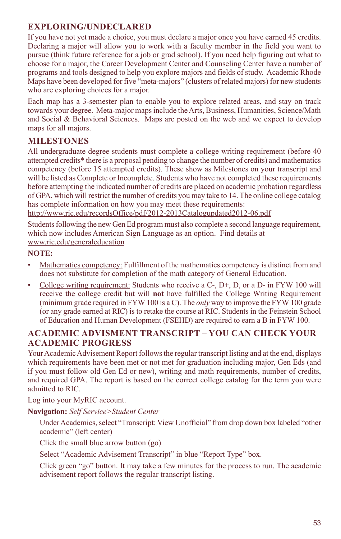#### **EXPLORING/UNDECLARED**

If you have not yet made a choice, you must declare a major once you have earned 45 credits. Declaring a major will allow you to work with a faculty member in the field you want to pursue (think future reference for a job or grad school). If you need help figuring out what to choose for a major, the Career Development Center and Counseling Center have a number of programs and tools designed to help you explore majors and fields of study. Academic Rhode Maps have been developed for five "meta-majors" (clusters of related majors) for new students who are exploring choices for a major.

Each map has a 3-semester plan to enable you to explore related areas, and stay on track towards your degree. Meta-major maps include the Arts, Business, Humanities, Science/Math and Social & Behavioral Sciences. Maps are posted on the web and we expect to develop maps for all majors.

#### **MILESTONES**

All undergraduate degree students must complete a college writing requirement (before 40 attempted credits\* there is a proposal pending to change the number of credits) and mathematics competency (before 15 attempted credits). These show as Milestones on your transcript and will be listed as Complete or Incomplete. Students who have not completed these requirements before attempting the indicated number of credits are placed on academic probation regardless of GPA, which will restrict the number of credits you may take to 14. The online college catalog has complete information on how you may meet these requirements:

http://www.ric.edu/recordsOffice/pdf/2012-2013Catalogupdated2012-06.pdf

Students following the new Gen Ed program must also complete a second language requirement, which now includes American Sign Language as an option. Find details at www.ric.edu/generaleducation

#### **NOTE:**

- Mathematics competency: Fulfillment of the mathematics competency is distinct from and does not substitute for completion of the math category of General Education.
- College writing requirement: Students who receive a  $C_7$ ,  $D_7$ ,  $D_7$ ,  $D_8$ , or a  $D_7$  in FYW 100 will receive the college credit but will **not** have fulfilled the College Writing Requirement (minimum grade required in FYW 100 is a C). The *only* way to improve the FYW 100 grade (or any grade earned at RIC) is to retake the course at RIC. Students in the Feinstein School of Education and Human Development (FSEHD) are required to earn a B in FYW 100.

#### **ACADEMIC ADVISMENT TRANSCRIPT – YOU CAN CHECK YOUR ACADEMIC PROGRESS**

Your Academic Advisement Report follows the regular transcript listing and at the end, displays which requirements have been met or not met for graduation including major, Gen Eds (and if you must follow old Gen Ed or new), writing and math requirements, number of credits, and required GPA. The report is based on the correct college catalog for the term you were admitted to RIC.

Log into your MyRIC account.

**Navigation:** *Self Service>Student Center*

Under Academics, select "Transcript: View Unofficial" from drop down box labeled "other academic" (left center)

Click the small blue arrow button (go)

Select "Academic Advisement Transcript" in blue "Report Type" box.

Click green "go" button. It may take a few minutes for the process to run. The academic advisement report follows the regular transcript listing.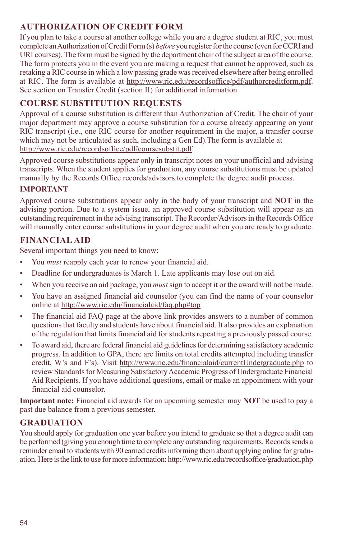### **AUTHORIZATION OF CREDIT FORM**

If you plan to take a course at another college while you are a degree student at RIC, you must complete an Authorization of Credit Form (s) *before* you register for the course (even for CCRI and URI courses). The form must be signed by the department chair of the subject area of the course. The form protects you in the event you are making a request that cannot be approved, such as retaking a RIC course in which a low passing grade was received elsewhere after being enrolled at RIC. The form is available at http://www.ric.edu/recordsoffice/pdf/authorcreditform.pdf. See section on Transfer Credit (section II) for additional information.

#### **COURSE SUBSTITUTION REQUESTS**

Approval of a course substitution is different than Authorization of Credit. The chair of your major department may approve a course substitution for a course already appearing on your RIC transcript (i.e., one RIC course for another requirement in the major, a transfer course which may not be articulated as such, including a Gen Ed).The form is available at http://www.ric.edu/recordsoffice/pdf/coursesubstit.pdf.

Approved course substitutions appear only in transcript notes on your unofficial and advising transcripts. When the student applies for graduation, any course substitutions must be updated manually by the Records Office records/advisors to complete the degree audit process.

#### **IMPORTANT**

Approved course substitutions appear only in the body of your transcript and **NOT** in the advising portion. Due to a system issue, an approved course substitution will appear as an outstanding requirement in the advising transcript. The Recorder/Advisors in the Records Office will manually enter course substitutions in your degree audit when you are ready to graduate.

#### **FINANCIAL AID**

Several important things you need to know:

- You *must* reapply each year to renew your financial aid.
- Deadline for undergraduates is March 1. Late applicants may lose out on aid.
- • When you receive an aid package, you *must* sign to accept it or the award will not be made.
- You have an assigned financial aid counselor (you can find the name of your counselor online at http://www.ric.edu/financialaid/faq.php#top
- The financial aid FAQ page at the above link provides answers to a number of common questions that faculty and students have about financial aid. It also provides an explanation of the regulation that limits financial aid for students repeating a previously passed course.
- To award aid, there are federal financial aid guidelines for determining satisfactory academic progress. In addition to GPA, there are limits on total credits attempted including transfer credit, W's and F's). Visit http://www.ric.edu/financialaid/currentUndergraduate.php to review Standards for Measuring Satisfactory Academic Progress of Undergraduate Financial Aid Recipients. If you have additional questions, email or make an appointment with your financial aid counselor.

**Important note:** Financial aid awards for an upcoming semester may **NOT** be used to pay a past due balance from a previous semester.

#### **GRADUATION**

You should apply for graduation one year before you intend to graduate so that a degree audit can be performed (giving you enough time to complete any outstanding requirements. Records sends a reminder email to students with 90 earned credits informing them about applying online for graduation. Here is the link to use for more information: http://www.ric.edu/recordsoffice/graduation.php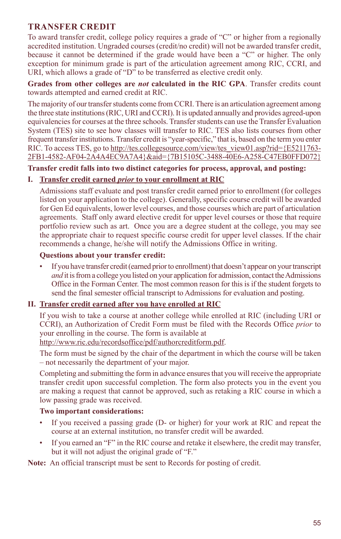#### **TRANSFER CREDIT**

To award transfer credit, college policy requires a grade of "C" or higher from a regionally accredited institution. Ungraded courses (credit/no credit) will not be awarded transfer credit, because it cannot be determined if the grade would have been a "C" or higher. The only exception for minimum grade is part of the articulation agreement among RIC, CCRI, and URI, which allows a grade of "D" to be transferred as elective credit only.

**Grades from other colleges are** *not* **calculated in the RIC GPA**. Transfer credits count towards attempted and earned credit at RIC.

The majority of our transfer students come from CCRI. There is an articulation agreement among the three state institutions (RIC, URI and CCRI). It is updated annually and provides agreed-upon equivalencies for courses at the three schools. Transfer students can use the Transfer Evaluation System (TES) site to see how classes will transfer to RIC. TES also lists courses from other frequent transfer institutions. Transfer credit is "year-specific," that is, based on the term you enter RIC. To access TES, go to http://tes.collegesource.com/view/tes\_view01.asp?rid={E5211763- 2FB1-4582-AF04-2A4A4EC9A7A4}&aid={7B15105C-3488-40E6-A258-C47EB0FFD072}

**Transfer credit falls into two distinct categories for process, approval, and posting:**

#### **I. Transfer credit earned** *prior* **to your enrollment at RIC**

Admissions staff evaluate and post transfer credit earned prior to enrollment (for colleges listed on your application to the college). Generally, specific course credit will be awarded for Gen Ed equivalents, lower level courses, and those courses which are part of articulation agreements. Staff only award elective credit for upper level courses or those that require portfolio review such as art. Once you are a degree student at the college, you may see the appropriate chair to request specific course credit for upper level classes. If the chair recommends a change, he/she will notify the Admissions Office in writing.

#### **Questions about your transfer credit:**

If you have transfer credit (earned prior to enrollment) that doesn't appear on your transcript *and* it is from a college you listed on your application for admission, contact the Admissions Office in the Forman Center. The most common reason for this is if the student forgets to send the final semester official transcript to Admissions for evaluation and posting.

#### **II. Transfer credit earned after you have enrolled at RIC**

If you wish to take a course at another college while enrolled at RIC (including URI or CCRI), an Authorization of Credit Form must be filed with the Records Office *prior* to your enrolling in the course. The form is available at

http://www.ric.edu/recordsoffice/pdf/authorcreditform.pdf.

The form must be signed by the chair of the department in which the course will be taken – not necessarily the department of your major.

Completing and submitting the form in advance ensures that you will receive the appropriate transfer credit upon successful completion. The form also protects you in the event you are making a request that cannot be approved, such as retaking a RIC course in which a low passing grade was received.

#### **Two important considerations:**

- If you received a passing grade (D- or higher) for your work at RIC and repeat the course at an external institution, no transfer credit will be awarded.
- If you earned an "F" in the RIC course and retake it elsewhere, the credit may transfer, but it will not adjust the original grade of "F."

**Note:** An official transcript must be sent to Records for posting of credit.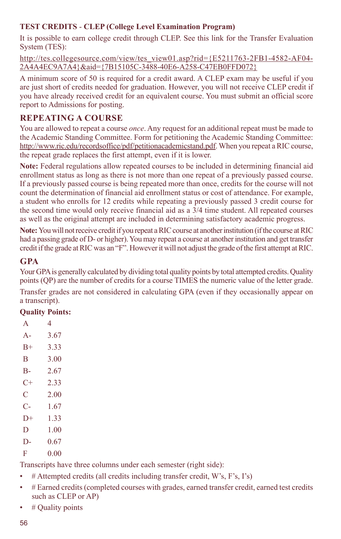#### **TEST CREDITS** - **CLEP (College Level Examination Program)**

It is possible to earn college credit through CLEP. See this link for the Transfer Evaluation System (TES):

http://tes.collegesource.com/view/tes\_view01.asp?rid={E5211763-2FB1-4582-AF04-2A4A4EC9A7A4}&aid={7B15105C-3488-40E6-A258-C47EB0FFD072}

A minimum score of 50 is required for a credit award. A CLEP exam may be useful if you are just short of credits needed for graduation. However, you will not receive CLEP credit if you have already received credit for an equivalent course. You must submit an official score report to Admissions for posting.

#### **REPEATING A COURSE**

You are allowed to repeat a course *once*. Any request for an additional repeat must be made to the Academic Standing Committee. Form for petitioning the Academic Standing Committee: http://www.ric.edu/recordsoffice/pdf/petitionacademicstand.pdf. When you repeat a RIC course, the repeat grade replaces the first attempt, even if it is lower.

**Note:** Federal regulations allow repeated courses to be included in determining financial aid enrollment status as long as there is not more than one repeat of a previously passed course. If a previously passed course is being repeated more than once, credits for the course will not count the determination of financial aid enrollment status or cost of attendance. For example, a student who enrolls for 12 credits while repeating a previously passed 3 credit course for the second time would only receive financial aid as a 3/4 time student. All repeated courses as well as the original attempt are included in determining satisfactory academic progress.

**Note:** You will not receive credit if you repeat a RIC course at another institution (if the course at RIC had a passing grade of D- or higher). You may repeat a course at another institution and get transfer credit if the grade at RIC was an "F". However it will not adjust the grade of the first attempt at RIC.

#### **GPA**

Your GPA is generally calculated by dividing total quality points by total attempted credits. Quality points (QP) are the number of credits for a course TIMES the numeric value of the letter grade.

Transfer grades are not considered in calculating GPA (even if they occasionally appear on a transcript).

#### **Quality Points:**

- A 4 A- 3.67
- B+ 3.33
- B 3.00
- B- 2.67
- $C+ 2.33$
- C 2.00
- C- 1.67
- D+ 1.33
- D 1.00
- D- 0.67
- F 0.00

Transcripts have three columns under each semester (right side):

- $#$  Attempted credits (all credits including transfer credit, W's, F's, I's)
- # Earned credits (completed courses with grades, earned transfer credit, earned test credits such as CLEP or AP)
- # Quality points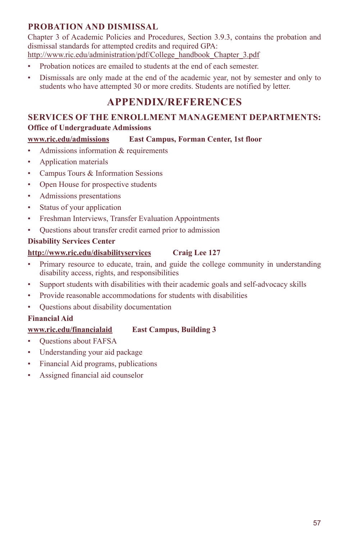#### **PROBATION AND DISMISSAL**

Chapter 3 of Academic Policies and Procedures, Section 3.9.3, contains the probation and dismissal standards for attempted credits and required GPA: http://www.ric.edu/administration/pdf/College\_handbook\_Chapter\_3.pdf

- Probation notices are emailed to students at the end of each semester.
- Dismissals are only made at the end of the academic year, not by semester and only to students who have attempted 30 or more credits. Students are notified by letter.

## **APPENDIX/REFERENCES**

#### **Services of the Enrollment Management Departments: Office of Undergraduate Admissions**

#### **www.ric.edu/admissions East Campus, Forman Center, 1st floor**

- • Admissions information & requirements
- • Application materials
- • Campus Tours & Information Sessions
- • Open House for prospective students
- • Admissions presentations
- • Status of your application
- • Freshman Interviews, Transfer Evaluation Appointments
- Questions about transfer credit earned prior to admission

#### **Disability Services Center**

#### **http://www.ric.edu/disabilityservices Craig Lee 127**

- Primary resource to educate, train, and guide the college community in understanding disability access, rights, and responsibilities
- Support students with disabilities with their academic goals and self-advocacy skills
- Provide reasonable accommodations for students with disabilities
- • Questions about disability documentation

#### **Financial Aid**

#### **www.ric.edu/financialaid East Campus, Building 3**

- **Ouestions about FAFSA**
- Understanding your aid package
- • Financial Aid programs, publications
- Assigned financial aid counselor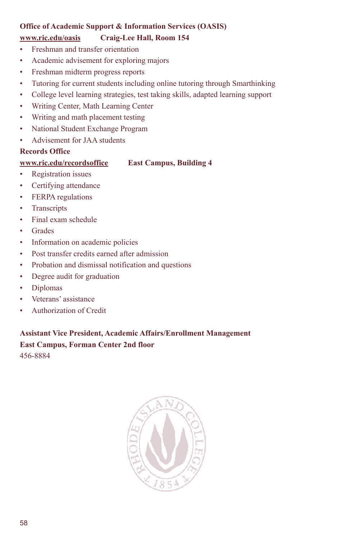#### **Office of Academic Support & Information Services (OASIS) www.ric.edu/oasis Craig-Lee Hall, Room 154**

- • Freshman and transfer orientation
- • Academic advisement for exploring majors
- • Freshman midterm progress reports
- • Tutoring for current students including online tutoring through Smarthinking
- • College level learning strategies, test taking skills, adapted learning support
- • Writing Center, Math Learning Center
- • Writing and math placement testing
- National Student Exchange Program
- • Advisement for JAA students

#### **Records Office**

#### **www.ric.edu/recordsoffice East Campus, Building 4**

- • Registration issues
- • Certifying attendance
- FERPA regulations
- • Transcripts
- • Final exam schedule
- • Grades
- Information on academic policies
- • Post transfer credits earned after admission
- • Probation and dismissal notification and questions
- Degree audit for graduation
- • Diplomas
- • Veterans' assistance
- • Authorization of Credit

## **Assistant Vice President, Academic Affairs/Enrollment Management East Campus, Forman Center 2nd floor**

456-8884